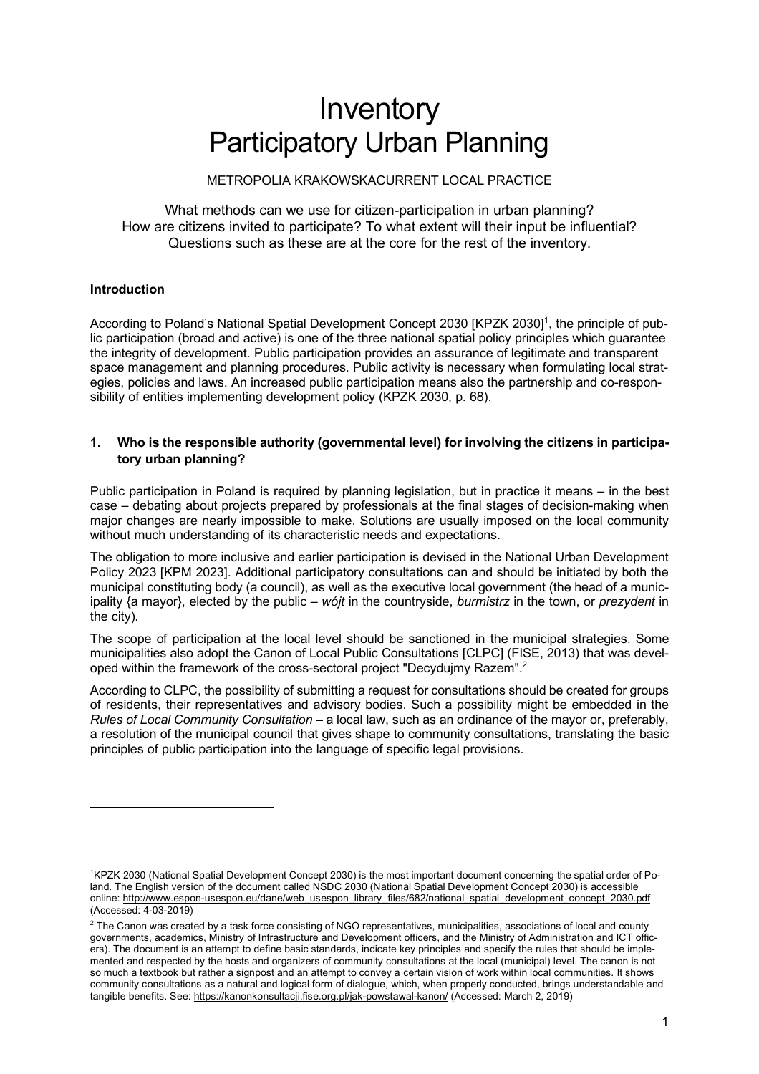# **Inventory** Participatory Urban Planning

METROPOLIA KRAKOWSKACURRENT LOCAL PRACTICE

What methods can we use for citizen-participation in urban planning? How are citizens invited to participate? To what extent will their input be influential? Questions such as these are at the core for the rest of the inventory.

# **Introduction**

l

According to Poland's National Spatial Development Concept 2030 [KPZK 2030]<sup>1</sup>, the principle of public participation (broad and active) is one of the three national spatial policy principles which guarantee the integrity of development. Public participation provides an assurance of legitimate and transparent space management and planning procedures. Public activity is necessary when formulating local strategies, policies and laws. An increased public participation means also the partnership and co-responsibility of entities implementing development policy (KPZK 2030, p. 68).

# **1. Who is the responsible authority (governmental level) for involving the citizens in participatory urban planning?**

Public participation in Poland is required by planning legislation, but in practice it means – in the best case – debating about projects prepared by professionals at the final stages of decision-making when major changes are nearly impossible to make. Solutions are usually imposed on the local community without much understanding of its characteristic needs and expectations.

The obligation to more inclusive and earlier participation is devised in the National Urban Development Policy 2023 [KPM 2023]. Additional participatory consultations can and should be initiated by both the municipal constituting body (a council), as well as the executive local government (the head of a municipality {a mayor}, elected by the public – *wójt* in the countryside, *burmistrz* in the town, or *prezydent* in the city).

The scope of participation at the local level should be sanctioned in the municipal strategies. Some municipalities also adopt the Canon of Local Public Consultations [CLPC] (FISE, 2013) that was developed within the framework of the cross-sectoral project "Decydujmy Razem".2

According to CLPC, the possibility of submitting a request for consultations should be created for groups of residents, their representatives and advisory bodies. Such a possibility might be embedded in the *Rules of Local Community Consultation* – a local law, such as an ordinance of the mayor or, preferably, a resolution of the municipal council that gives shape to community consultations, translating the basic principles of public participation into the language of specific legal provisions.

<sup>1</sup> KPZK 2030 (National Spatial Development Concept 2030) is the most important document concerning the spatial order of Poland. The English version of the document called NSDC 2030 (National Spatial Development Concept 2030) is accessible online: http://www.espon-usespon.eu/dane/web\_usespon\_library\_files/682/national\_spatial\_development\_concept\_2030.pdf (Accessed: 4-03-2019)

<sup>&</sup>lt;sup>2</sup> The Canon was created by a task force consisting of NGO representatives, municipalities, associations of local and county governments, academics, Ministry of Infrastructure and Development officers, and the Ministry of Administration and ICT officers). The document is an attempt to define basic standards, indicate key principles and specify the rules that should be implemented and respected by the hosts and organizers of community consultations at the local (municipal) level. The canon is not so much a textbook but rather a signpost and an attempt to convey a certain vision of work within local communities. It shows community consultations as a natural and logical form of dialogue, which, when properly conducted, brings understandable and tangible benefits. See: https://kanonkonsultacji.fise.org.pl/jak-powstawal-kanon/ (Accessed: March 2, 2019)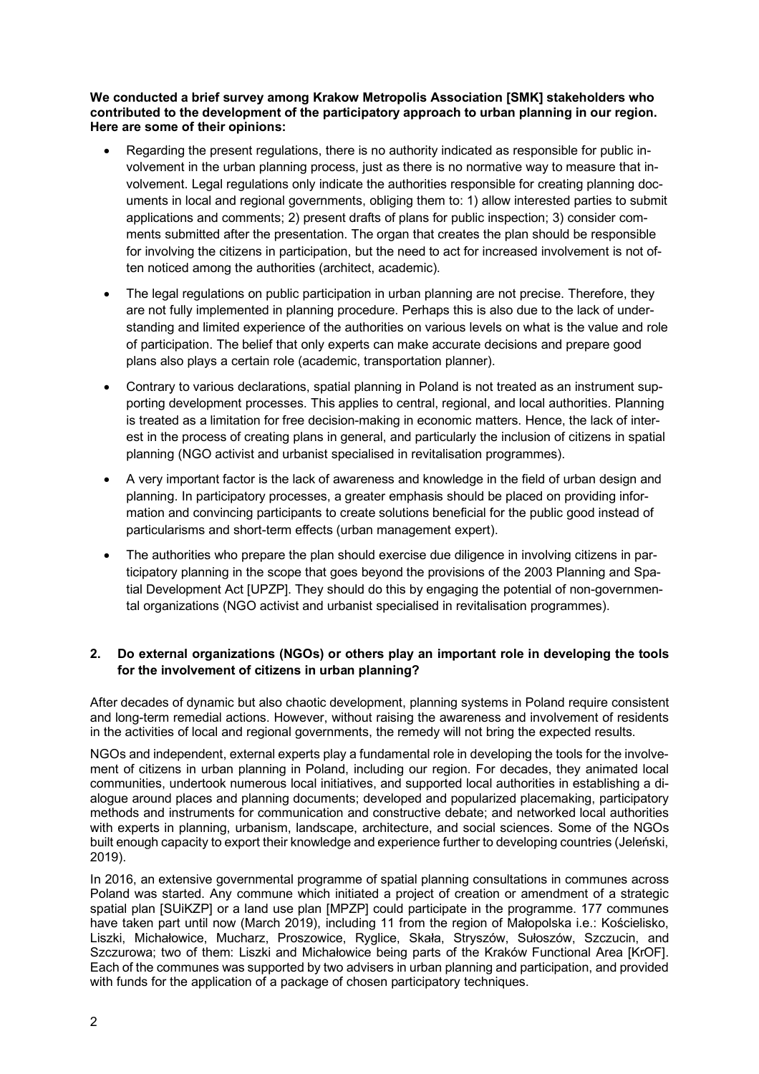**We conducted a brief survey among Krakow Metropolis Association [SMK] stakeholders who contributed to the development of the participatory approach to urban planning in our region. Here are some of their opinions:**

- Regarding the present regulations, there is no authority indicated as responsible for public involvement in the urban planning process, just as there is no normative way to measure that involvement. Legal regulations only indicate the authorities responsible for creating planning documents in local and regional governments, obliging them to: 1) allow interested parties to submit applications and comments; 2) present drafts of plans for public inspection; 3) consider comments submitted after the presentation. The organ that creates the plan should be responsible for involving the citizens in participation, but the need to act for increased involvement is not often noticed among the authorities (architect, academic).
- The legal regulations on public participation in urban planning are not precise. Therefore, they are not fully implemented in planning procedure. Perhaps this is also due to the lack of understanding and limited experience of the authorities on various levels on what is the value and role of participation. The belief that only experts can make accurate decisions and prepare good plans also plays a certain role (academic, transportation planner).
- Contrary to various declarations, spatial planning in Poland is not treated as an instrument supporting development processes. This applies to central, regional, and local authorities. Planning is treated as a limitation for free decision-making in economic matters. Hence, the lack of interest in the process of creating plans in general, and particularly the inclusion of citizens in spatial planning (NGO activist and urbanist specialised in revitalisation programmes).
- A very important factor is the lack of awareness and knowledge in the field of urban design and planning. In participatory processes, a greater emphasis should be placed on providing information and convincing participants to create solutions beneficial for the public good instead of particularisms and short-term effects (urban management expert).
- The authorities who prepare the plan should exercise due diligence in involving citizens in participatory planning in the scope that goes beyond the provisions of the 2003 Planning and Spatial Development Act [UPZP]. They should do this by engaging the potential of non-governmental organizations (NGO activist and urbanist specialised in revitalisation programmes).

# **2. Do external organizations (NGOs) or others play an important role in developing the tools for the involvement of citizens in urban planning?**

After decades of dynamic but also chaotic development, planning systems in Poland require consistent and long-term remedial actions. However, without raising the awareness and involvement of residents in the activities of local and regional governments, the remedy will not bring the expected results.

NGOs and independent, external experts play a fundamental role in developing the tools for the involvement of citizens in urban planning in Poland, including our region. For decades, they animated local communities, undertook numerous local initiatives, and supported local authorities in establishing a dialogue around places and planning documents; developed and popularized placemaking, participatory methods and instruments for communication and constructive debate; and networked local authorities with experts in planning, urbanism, landscape, architecture, and social sciences. Some of the NGOs built enough capacity to export their knowledge and experience further to developing countries (Jeleński, 2019).

In 2016, an extensive governmental programme of spatial planning consultations in communes across Poland was started. Any commune which initiated a project of creation or amendment of a strategic spatial plan [SUiKZP] or a land use plan [MPZP] could participate in the programme. 177 communes have taken part until now (March 2019), including 11 from the region of Małopolska i.e.: Kościelisko, Liszki, Michałowice, Mucharz, Proszowice, Ryglice, Skała, Stryszów, Sułoszów, Szczucin, and Szczurowa; two of them: Liszki and Michałowice being parts of the Kraków Functional Area [KrOF]. Each of the communes was supported by two advisers in urban planning and participation, and provided with funds for the application of a package of chosen participatory techniques.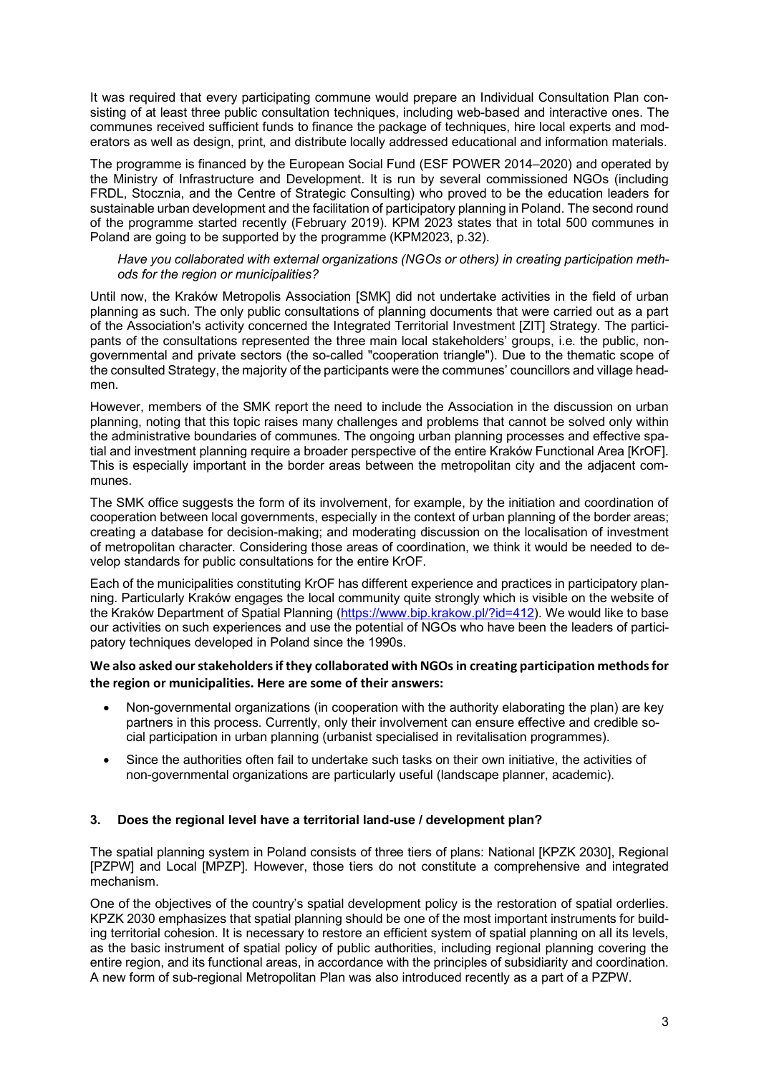It was required that every participating commune would prepare an Individual Consultation Plan consisting of at least three public consultation techniques, including web-based and interactive ones. The communes received sufficient funds to finance the package of techniques, hire local experts and moderators as well as design, print, and distribute locally addressed educational and information materials.

The programme is financed by the European Social Fund (ESF POWER 2014–2020) and operated by the Ministry of Infrastructure and Development. It is run by several commissioned NGOs (including FRDL, Stocznia, and the Centre of Strategic Consulting) who proved to be the education leaders for sustainable urban development and the facilitation of participatory planning in Poland. The second round of the programme started recently (February 2019). KPM 2023 states that in total 500 communes in Poland are going to be supported by the programme (KPM2023, p.32).

#### *Have you collaborated with external organizations (NGOs or others) in creating participation methods for the region or municipalities?*

Until now, the Kraków Metropolis Association [SMK] did not undertake activities in the field of urban planning as such. The only public consultations of planning documents that were carried out as a part of the Association's activity concerned the Integrated Territorial Investment [ZIT] Strategy. The participants of the consultations represented the three main local stakeholders' groups, i.e. the public, nongovernmental and private sectors (the so-called "cooperation triangle"). Due to the thematic scope of the consulted Strategy, the majority of the participants were the communes' councillors and village headmen.

However, members of the SMK report the need to include the Association in the discussion on urban planning, noting that this topic raises many challenges and problems that cannot be solved only within the administrative boundaries of communes. The ongoing urban planning processes and effective spatial and investment planning require a broader perspective of the entire Kraków Functional Area [KrOF]. This is especially important in the border areas between the metropolitan city and the adjacent communes.

The SMK office suggests the form of its involvement, for example, by the initiation and coordination of cooperation between local governments, especially in the context of urban planning of the border areas; creating a database for decision-making; and moderating discussion on the localisation of investment of metropolitan character. Considering those areas of coordination, we think it would be needed to develop standards for public consultations for the entire KrOF.

Each of the municipalities constituting KrOF has different experience and practices in participatory planning. Particularly Kraków engages the local community quite strongly which is visible on the website of the Kraków Department of Spatial Planning (https://www.bip.krakow.pl/?id=412). We would like to base our activities on such experiences and use the potential of NGOs who have been the leaders of participatory techniques developed in Poland since the 1990s.

# **We also asked our stakeholders if they collaborated with NGOs in creating participation methods for the region or municipalities. Here are some of their answers:**

- Non-governmental organizations (in cooperation with the authority elaborating the plan) are key partners in this process. Currently, only their involvement can ensure effective and credible social participation in urban planning (urbanist specialised in revitalisation programmes).
- Since the authorities often fail to undertake such tasks on their own initiative, the activities of non-governmental organizations are particularly useful (landscape planner, academic).

# **3. Does the regional level have a territorial land-use / development plan?**

The spatial planning system in Poland consists of three tiers of plans: National [KPZK 2030], Regional [PZPW] and Local [MPZP]. However, those tiers do not constitute a comprehensive and integrated mechanism.

One of the objectives of the country's spatial development policy is the restoration of spatial orderlies. KPZK 2030 emphasizes that spatial planning should be one of the most important instruments for building territorial cohesion. It is necessary to restore an efficient system of spatial planning on all its levels, as the basic instrument of spatial policy of public authorities, including regional planning covering the entire region, and its functional areas, in accordance with the principles of subsidiarity and coordination. A new form of sub-regional Metropolitan Plan was also introduced recently as a part of a PZPW.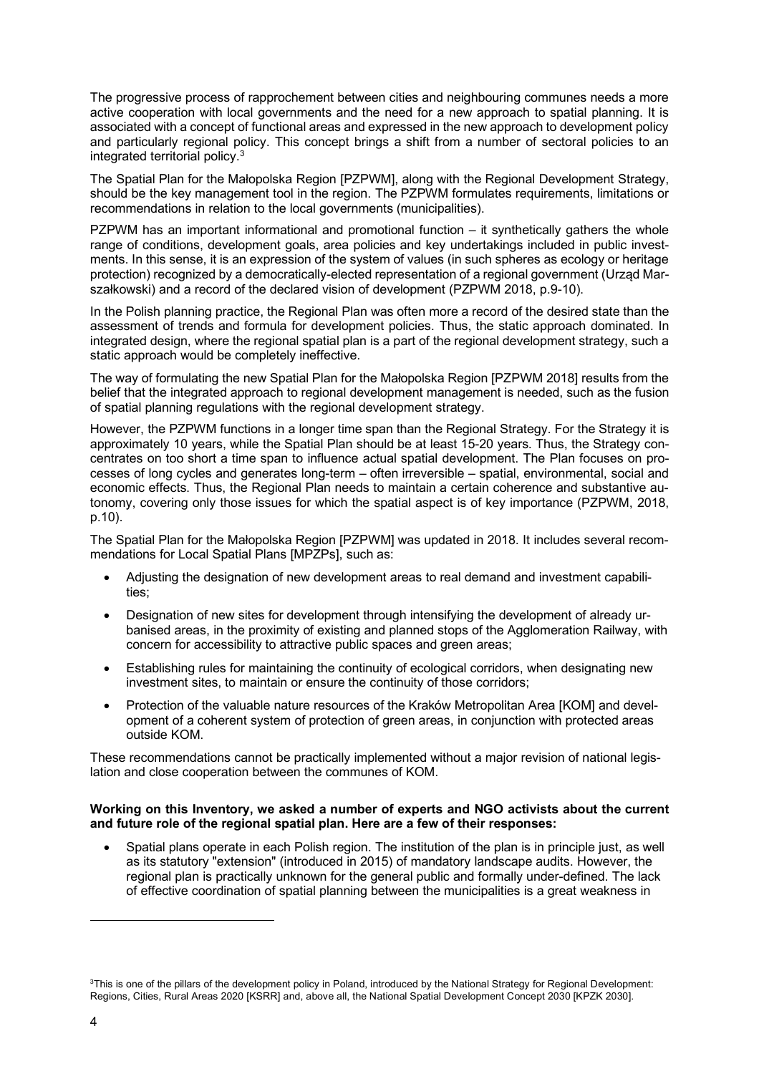The progressive process of rapprochement between cities and neighbouring communes needs a more active cooperation with local governments and the need for a new approach to spatial planning. It is associated with a concept of functional areas and expressed in the new approach to development policy and particularly regional policy. This concept brings a shift from a number of sectoral policies to an integrated territorial policy.<sup>3</sup>

The Spatial Plan for the Małopolska Region [PZPWM], along with the Regional Development Strategy, should be the key management tool in the region. The PZPWM formulates requirements, limitations or recommendations in relation to the local governments (municipalities).

PZPWM has an important informational and promotional function – it synthetically gathers the whole range of conditions, development goals, area policies and key undertakings included in public investments. In this sense, it is an expression of the system of values (in such spheres as ecology or heritage protection) recognized by a democratically-elected representation of a regional government (Urzad Marszałkowski) and a record of the declared vision of development (PZPWM 2018, p.9-10).

In the Polish planning practice, the Regional Plan was often more a record of the desired state than the assessment of trends and formula for development policies. Thus, the static approach dominated. In integrated design, where the regional spatial plan is a part of the regional development strategy, such a static approach would be completely ineffective.

The way of formulating the new Spatial Plan for the Małopolska Region [PZPWM 2018] results from the belief that the integrated approach to regional development management is needed, such as the fusion of spatial planning regulations with the regional development strategy.

However, the PZPWM functions in a longer time span than the Regional Strategy. For the Strategy it is approximately 10 years, while the Spatial Plan should be at least 15-20 years. Thus, the Strategy concentrates on too short a time span to influence actual spatial development. The Plan focuses on processes of long cycles and generates long-term – often irreversible – spatial, environmental, social and economic effects. Thus, the Regional Plan needs to maintain a certain coherence and substantive autonomy, covering only those issues for which the spatial aspect is of key importance (PZPWM, 2018, p.10).

The Spatial Plan for the Małopolska Region [PZPWM] was updated in 2018. It includes several recommendations for Local Spatial Plans [MPZPs], such as:

- Adjusting the designation of new development areas to real demand and investment capabilities;
- Designation of new sites for development through intensifying the development of already urbanised areas, in the proximity of existing and planned stops of the Agglomeration Railway, with concern for accessibility to attractive public spaces and green areas;
- Establishing rules for maintaining the continuity of ecological corridors, when designating new investment sites, to maintain or ensure the continuity of those corridors;
- Protection of the valuable nature resources of the Kraków Metropolitan Area [KOM] and development of a coherent system of protection of green areas, in conjunction with protected areas outside KOM.

These recommendations cannot be practically implemented without a major revision of national legislation and close cooperation between the communes of KOM.

#### **Working on this Inventory, we asked a number of experts and NGO activists about the current and future role of the regional spatial plan. Here are a few of their responses:**

• Spatial plans operate in each Polish region. The institution of the plan is in principle just, as well as its statutory "extension" (introduced in 2015) of mandatory landscape audits. However, the regional plan is practically unknown for the general public and formally under-defined. The lack of effective coordination of spatial planning between the municipalities is a great weakness in

l

<sup>&</sup>lt;sup>3</sup>This is one of the pillars of the development policy in Poland, introduced by the National Strategy for Regional Development: Regions, Cities, Rural Areas 2020 [KSRR] and, above all, the National Spatial Development Concept 2030 [KPZK 2030].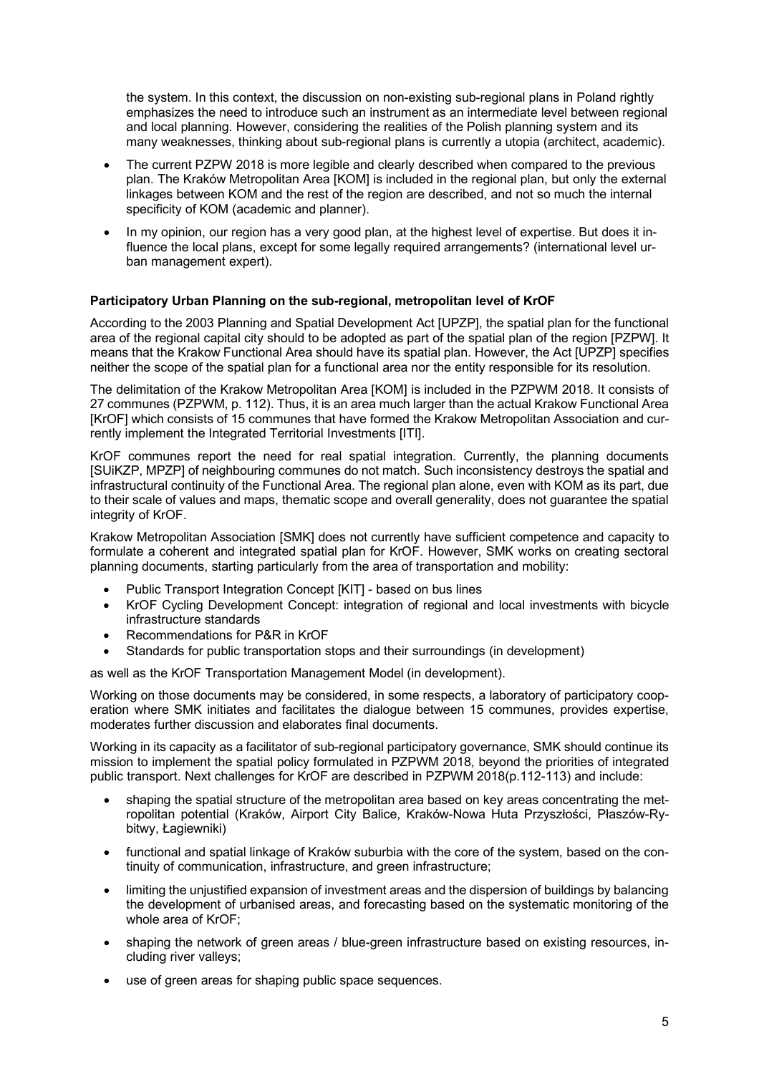the system. In this context, the discussion on non-existing sub-regional plans in Poland rightly emphasizes the need to introduce such an instrument as an intermediate level between regional and local planning. However, considering the realities of the Polish planning system and its many weaknesses, thinking about sub-regional plans is currently a utopia (architect, academic).

- The current PZPW 2018 is more legible and clearly described when compared to the previous plan. The Kraków Metropolitan Area [KOM] is included in the regional plan, but only the external linkages between KOM and the rest of the region are described, and not so much the internal specificity of KOM (academic and planner).
- In my opinion, our region has a very good plan, at the highest level of expertise. But does it influence the local plans, except for some legally required arrangements? (international level urban management expert).

# **Participatory Urban Planning on the sub-regional, metropolitan level of KrOF**

According to the 2003 Planning and Spatial Development Act [UPZP], the spatial plan for the functional area of the regional capital city should to be adopted as part of the spatial plan of the region [PZPW]. It means that the Krakow Functional Area should have its spatial plan. However, the Act [UPZP] specifies neither the scope of the spatial plan for a functional area nor the entity responsible for its resolution.

The delimitation of the Krakow Metropolitan Area [KOM] is included in the PZPWM 2018. It consists of 27 communes (PZPWM, p. 112). Thus, it is an area much larger than the actual Krakow Functional Area [KrOF] which consists of 15 communes that have formed the Krakow Metropolitan Association and currently implement the Integrated Territorial Investments [ITI].

KrOF communes report the need for real spatial integration. Currently, the planning documents [SUiKZP, MPZP] of neighbouring communes do not match. Such inconsistency destroys the spatial and infrastructural continuity of the Functional Area. The regional plan alone, even with KOM as its part, due to their scale of values and maps, thematic scope and overall generality, does not guarantee the spatial integrity of KrOF.

Krakow Metropolitan Association [SMK] does not currently have sufficient competence and capacity to formulate a coherent and integrated spatial plan for KrOF. However, SMK works on creating sectoral planning documents, starting particularly from the area of transportation and mobility:

- Public Transport Integration Concept [KIT] based on bus lines
- KrOF Cycling Development Concept: integration of regional and local investments with bicycle infrastructure standards
- Recommendations for P&R in KrOF
- Standards for public transportation stops and their surroundings (in development)

as well as the KrOF Transportation Management Model (in development).

Working on those documents may be considered, in some respects, a laboratory of participatory cooperation where SMK initiates and facilitates the dialogue between 15 communes, provides expertise, moderates further discussion and elaborates final documents.

Working in its capacity as a facilitator of sub-regional participatory governance, SMK should continue its mission to implement the spatial policy formulated in PZPWM 2018, beyond the priorities of integrated public transport. Next challenges for KrOF are described in PZPWM 2018(p.112-113) and include:

- shaping the spatial structure of the metropolitan area based on key areas concentrating the metropolitan potential (Kraków, Airport City Balice, Kraków-Nowa Huta Przyszłości, Płaszów-Rybitwy, Łagiewniki)
- functional and spatial linkage of Kraków suburbia with the core of the system, based on the continuity of communication, infrastructure, and green infrastructure;
- limiting the unjustified expansion of investment areas and the dispersion of buildings by balancing the development of urbanised areas, and forecasting based on the systematic monitoring of the whole area of KrOF;
- shaping the network of green areas / blue-green infrastructure based on existing resources, including river valleys;
- use of green areas for shaping public space sequences.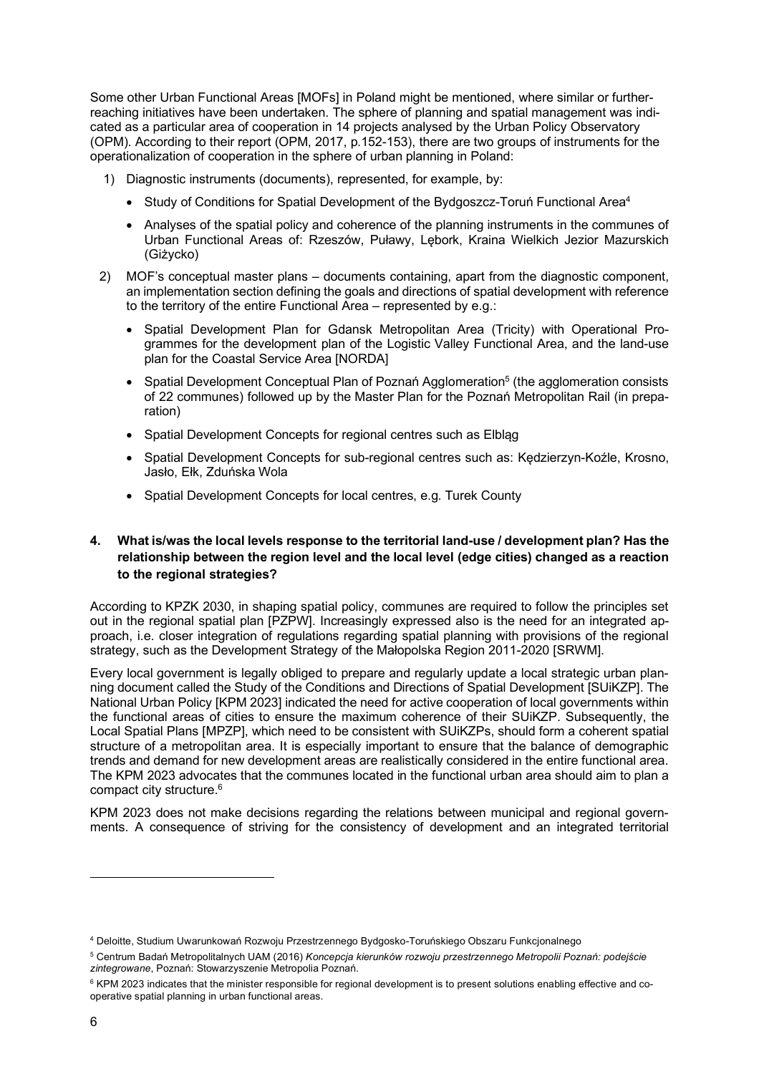Some other Urban Functional Areas [MOFs] in Poland might be mentioned, where similar or furtherreaching initiatives have been undertaken. The sphere of planning and spatial management was indicated as a particular area of cooperation in 14 projects analysed by the Urban Policy Observatory (OPM). According to their report (OPM, 2017, p.152-153), there are two groups of instruments for the operationalization of cooperation in the sphere of urban planning in Poland:

- 1) Diagnostic instruments (documents), represented, for example, by:
	- Study of Conditions for Spatial Development of the Bydgoszcz-Toruń Functional Area<sup>4</sup>
	- Analyses of the spatial policy and coherence of the planning instruments in the communes of Urban Functional Areas of: Rzeszów, Puławy, Lębork, Kraina Wielkich Jezior Mazurskich (Giżycko)
- 2) MOF's conceptual master plans documents containing, apart from the diagnostic component, an implementation section defining the goals and directions of spatial development with reference to the territory of the entire Functional Area – represented by e.g.:
	- Spatial Development Plan for Gdansk Metropolitan Area (Tricity) with Operational Programmes for the development plan of the Logistic Valley Functional Area, and the land-use plan for the Coastal Service Area [NORDA]
	- Spatial Development Conceptual Plan of Poznań Agglomeration<sup>5</sup> (the agglomeration consists of 22 communes) followed up by the Master Plan for the Poznań Metropolitan Rail (in preparation)
	- Spatial Development Concepts for regional centres such as Elbląg
	- Spatial Development Concepts for sub-regional centres such as: Kędzierzyn-Koźle, Krosno, Jasło, Ełk, Zduńska Wola
	- Spatial Development Concepts for local centres, e.g. Turek County

# **4. What is/was the local levels response to the territorial land-use / development plan? Has the relationship between the region level and the local level (edge cities) changed as a reaction to the regional strategies?**

According to KPZK 2030, in shaping spatial policy, communes are required to follow the principles set out in the regional spatial plan [PZPW]. Increasingly expressed also is the need for an integrated approach, i.e. closer integration of regulations regarding spatial planning with provisions of the regional strategy, such as the Development Strategy of the Małopolska Region 2011-2020 [SRWM].

Every local government is legally obliged to prepare and regularly update a local strategic urban planning document called the Study of the Conditions and Directions of Spatial Development [SUiKZP]. The National Urban Policy [KPM 2023] indicated the need for active cooperation of local governments within the functional areas of cities to ensure the maximum coherence of their SUiKZP. Subsequently, the Local Spatial Plans [MPZP], which need to be consistent with SUiKZPs, should form a coherent spatial structure of a metropolitan area. It is especially important to ensure that the balance of demographic trends and demand for new development areas are realistically considered in the entire functional area. The KPM 2023 advocates that the communes located in the functional urban area should aim to plan a compact city structure.6

KPM 2023 does not make decisions regarding the relations between municipal and regional governments. A consequence of striving for the consistency of development and an integrated territorial

 $\overline{a}$ 

<sup>4</sup> Deloitte, Studium Uwarunkowań Rozwoju Przestrzennego Bydgosko-Toruńskiego Obszaru Funkcjonalnego

<sup>5</sup> Centrum Badań Metropolitalnych UAM (2016) *Koncepcja kierunków rozwoju przestrzennego Metropolii Poznań: podejście zintegrowane*, Poznań: Stowarzyszenie Metropolia Poznań.

<sup>&</sup>lt;sup>6</sup> KPM 2023 indicates that the minister responsible for regional development is to present solutions enabling effective and cooperative spatial planning in urban functional areas.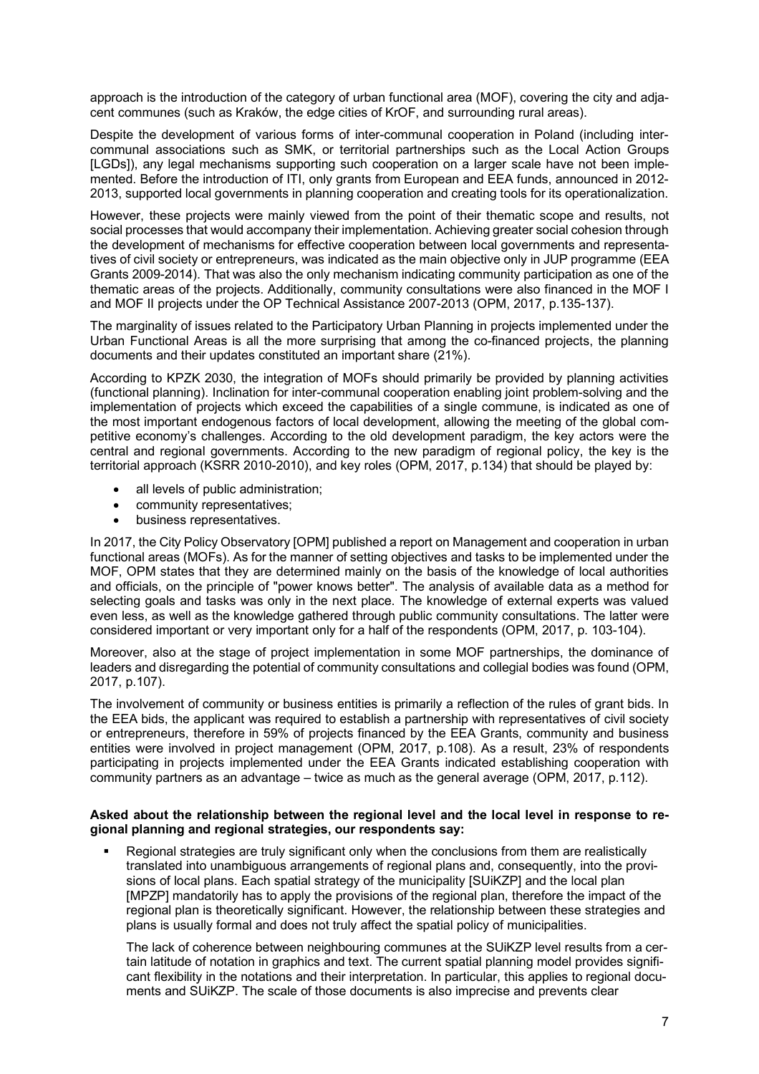approach is the introduction of the category of urban functional area (MOF), covering the city and adjacent communes (such as Kraków, the edge cities of KrOF, and surrounding rural areas).

Despite the development of various forms of inter-communal cooperation in Poland (including intercommunal associations such as SMK, or territorial partnerships such as the Local Action Groups [LGDs]), any legal mechanisms supporting such cooperation on a larger scale have not been implemented. Before the introduction of ITI, only grants from European and EEA funds, announced in 2012- 2013, supported local governments in planning cooperation and creating tools for its operationalization.

However, these projects were mainly viewed from the point of their thematic scope and results, not social processes that would accompany their implementation. Achieving greater social cohesion through the development of mechanisms for effective cooperation between local governments and representatives of civil society or entrepreneurs, was indicated as the main objective only in JUP programme (EEA Grants 2009-2014). That was also the only mechanism indicating community participation as one of the thematic areas of the projects. Additionally, community consultations were also financed in the MOF I and MOF II projects under the OP Technical Assistance 2007-2013 (OPM, 2017, p.135-137).

The marginality of issues related to the Participatory Urban Planning in projects implemented under the Urban Functional Areas is all the more surprising that among the co-financed projects, the planning documents and their updates constituted an important share (21%).

According to KPZK 2030, the integration of MOFs should primarily be provided by planning activities (functional planning). Inclination for inter-communal cooperation enabling joint problem-solving and the implementation of projects which exceed the capabilities of a single commune, is indicated as one of the most important endogenous factors of local development, allowing the meeting of the global competitive economy's challenges. According to the old development paradigm, the key actors were the central and regional governments. According to the new paradigm of regional policy, the key is the territorial approach (KSRR 2010-2010), and key roles (OPM, 2017, p.134) that should be played by:

- all levels of public administration;
- community representatives;
- business representatives.

In 2017, the City Policy Observatory [OPM] published a report on Management and cooperation in urban functional areas (MOFs). As for the manner of setting objectives and tasks to be implemented under the MOF, OPM states that they are determined mainly on the basis of the knowledge of local authorities and officials, on the principle of "power knows better". The analysis of available data as a method for selecting goals and tasks was only in the next place. The knowledge of external experts was valued even less, as well as the knowledge gathered through public community consultations. The latter were considered important or very important only for a half of the respondents (OPM, 2017, p. 103-104).

Moreover, also at the stage of project implementation in some MOF partnerships, the dominance of leaders and disregarding the potential of community consultations and collegial bodies was found (OPM, 2017, p.107).

The involvement of community or business entities is primarily a reflection of the rules of grant bids. In the EEA bids, the applicant was required to establish a partnership with representatives of civil society or entrepreneurs, therefore in 59% of projects financed by the EEA Grants, community and business entities were involved in project management (OPM, 2017, p.108). As a result, 23% of respondents participating in projects implemented under the EEA Grants indicated establishing cooperation with community partners as an advantage – twice as much as the general average (OPM, 2017, p.112).

#### **Asked about the relationship between the regional level and the local level in response to regional planning and regional strategies, our respondents say:**

Regional strategies are truly significant only when the conclusions from them are realistically translated into unambiguous arrangements of regional plans and, consequently, into the provisions of local plans. Each spatial strategy of the municipality [SUiKZP] and the local plan [MPZP] mandatorily has to apply the provisions of the regional plan, therefore the impact of the regional plan is theoretically significant. However, the relationship between these strategies and plans is usually formal and does not truly affect the spatial policy of municipalities.

The lack of coherence between neighbouring communes at the SUiKZP level results from a certain latitude of notation in graphics and text. The current spatial planning model provides significant flexibility in the notations and their interpretation. In particular, this applies to regional documents and SUiKZP. The scale of those documents is also imprecise and prevents clear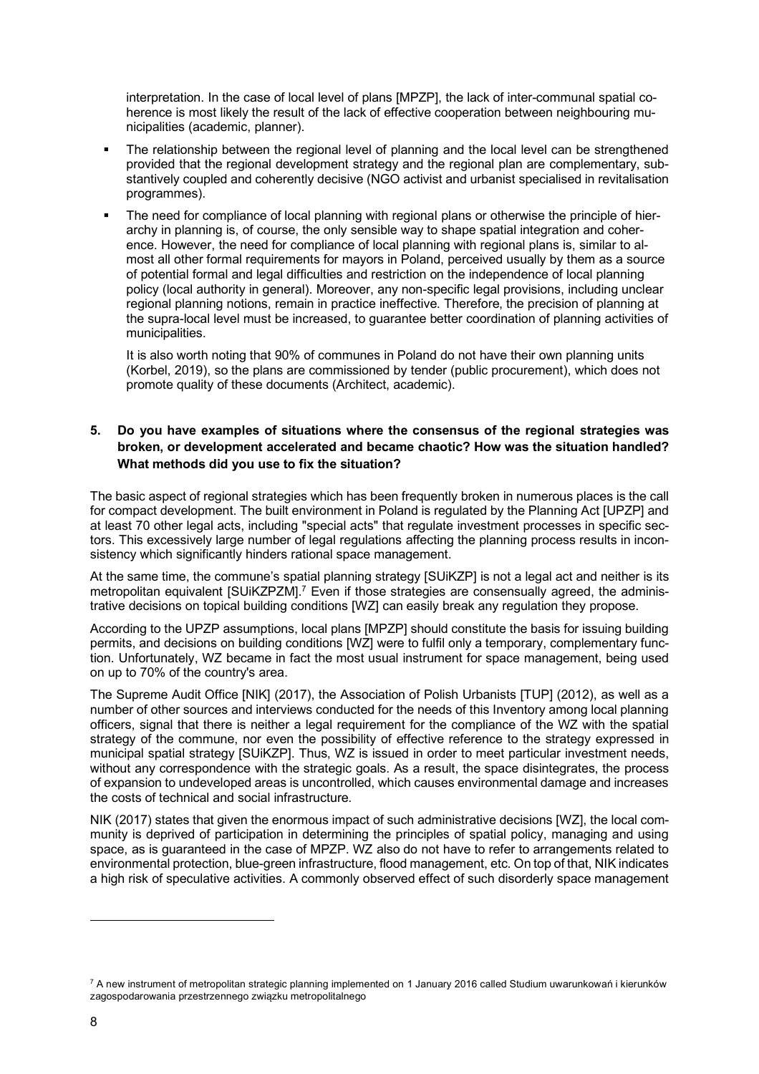interpretation. In the case of local level of plans [MPZP], the lack of inter-communal spatial coherence is most likely the result of the lack of effective cooperation between neighbouring municipalities (academic, planner).

- The relationship between the regional level of planning and the local level can be strengthened provided that the regional development strategy and the regional plan are complementary, substantively coupled and coherently decisive (NGO activist and urbanist specialised in revitalisation programmes).
- The need for compliance of local planning with regional plans or otherwise the principle of hierarchy in planning is, of course, the only sensible way to shape spatial integration and coherence. However, the need for compliance of local planning with regional plans is, similar to almost all other formal requirements for mayors in Poland, perceived usually by them as a source of potential formal and legal difficulties and restriction on the independence of local planning policy (local authority in general). Moreover, any non-specific legal provisions, including unclear regional planning notions, remain in practice ineffective. Therefore, the precision of planning at the supra-local level must be increased, to guarantee better coordination of planning activities of municipalities.

It is also worth noting that 90% of communes in Poland do not have their own planning units (Korbel, 2019), so the plans are commissioned by tender (public procurement), which does not promote quality of these documents (Architect, academic).

# **5. Do you have examples of situations where the consensus of the regional strategies was broken, or development accelerated and became chaotic? How was the situation handled? What methods did you use to fix the situation?**

The basic aspect of regional strategies which has been frequently broken in numerous places is the call for compact development. The built environment in Poland is regulated by the Planning Act [UPZP] and at least 70 other legal acts, including "special acts" that regulate investment processes in specific sectors. This excessively large number of legal regulations affecting the planning process results in inconsistency which significantly hinders rational space management.

At the same time, the commune's spatial planning strategy [SUiKZP] is not a legal act and neither is its metropolitan equivalent [SUiKZPZM].<sup>7</sup> Even if those strategies are consensually agreed, the administrative decisions on topical building conditions [WZ] can easily break any regulation they propose.

According to the UPZP assumptions, local plans [MPZP] should constitute the basis for issuing building permits, and decisions on building conditions [WZ] were to fulfil only a temporary, complementary function. Unfortunately, WZ became in fact the most usual instrument for space management, being used on up to 70% of the country's area.

The Supreme Audit Office [NIK] (2017), the Association of Polish Urbanists [TUP] (2012), as well as a number of other sources and interviews conducted for the needs of this Inventory among local planning officers, signal that there is neither a legal requirement for the compliance of the WZ with the spatial strategy of the commune, nor even the possibility of effective reference to the strategy expressed in municipal spatial strategy [SUiKZP]. Thus, WZ is issued in order to meet particular investment needs, without any correspondence with the strategic goals. As a result, the space disintegrates, the process of expansion to undeveloped areas is uncontrolled, which causes environmental damage and increases the costs of technical and social infrastructure.

NIK (2017) states that given the enormous impact of such administrative decisions [WZ], the local community is deprived of participation in determining the principles of spatial policy, managing and using space, as is guaranteed in the case of MPZP. WZ also do not have to refer to arrangements related to environmental protection, blue-green infrastructure, flood management, etc. On top of that, NIK indicates a high risk of speculative activities. A commonly observed effect of such disorderly space management

l

 $7$  A new instrument of metropolitan strategic planning implemented on 1 January 2016 called Studium uwarunkowań i kierunków zagospodarowania przestrzennego związku metropolitalnego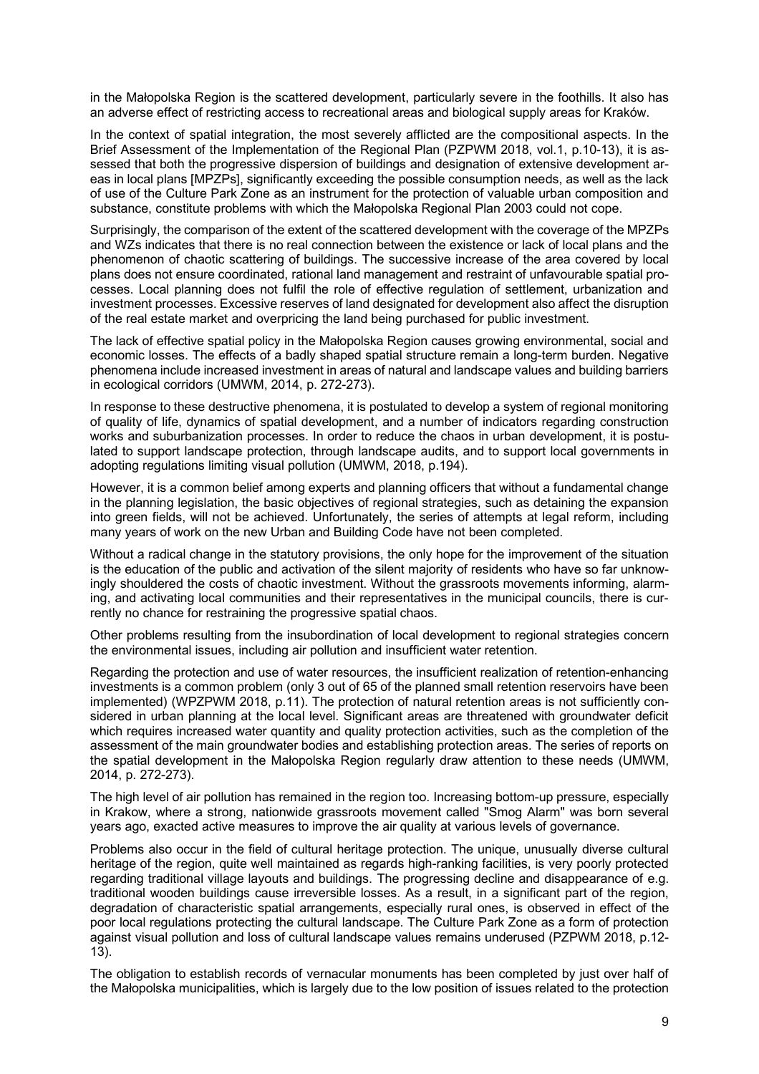in the Małopolska Region is the scattered development, particularly severe in the foothills. It also has an adverse effect of restricting access to recreational areas and biological supply areas for Kraków.

In the context of spatial integration, the most severely afflicted are the compositional aspects. In the Brief Assessment of the Implementation of the Regional Plan (PZPWM 2018, vol.1, p.10-13), it is assessed that both the progressive dispersion of buildings and designation of extensive development areas in local plans [MPZPs], significantly exceeding the possible consumption needs, as well as the lack of use of the Culture Park Zone as an instrument for the protection of valuable urban composition and substance, constitute problems with which the Małopolska Regional Plan 2003 could not cope.

Surprisingly, the comparison of the extent of the scattered development with the coverage of the MPZPs and WZs indicates that there is no real connection between the existence or lack of local plans and the phenomenon of chaotic scattering of buildings. The successive increase of the area covered by local plans does not ensure coordinated, rational land management and restraint of unfavourable spatial processes. Local planning does not fulfil the role of effective regulation of settlement, urbanization and investment processes. Excessive reserves of land designated for development also affect the disruption of the real estate market and overpricing the land being purchased for public investment.

The lack of effective spatial policy in the Małopolska Region causes growing environmental, social and economic losses. The effects of a badly shaped spatial structure remain a long-term burden. Negative phenomena include increased investment in areas of natural and landscape values and building barriers in ecological corridors (UMWM, 2014, p. 272-273).

In response to these destructive phenomena, it is postulated to develop a system of regional monitoring of quality of life, dynamics of spatial development, and a number of indicators regarding construction works and suburbanization processes. In order to reduce the chaos in urban development, it is postulated to support landscape protection, through landscape audits, and to support local governments in adopting regulations limiting visual pollution (UMWM, 2018, p.194).

However, it is a common belief among experts and planning officers that without a fundamental change in the planning legislation, the basic objectives of regional strategies, such as detaining the expansion into green fields, will not be achieved. Unfortunately, the series of attempts at legal reform, including many years of work on the new Urban and Building Code have not been completed.

Without a radical change in the statutory provisions, the only hope for the improvement of the situation is the education of the public and activation of the silent majority of residents who have so far unknowingly shouldered the costs of chaotic investment. Without the grassroots movements informing, alarming, and activating local communities and their representatives in the municipal councils, there is currently no chance for restraining the progressive spatial chaos.

Other problems resulting from the insubordination of local development to regional strategies concern the environmental issues, including air pollution and insufficient water retention.

Regarding the protection and use of water resources, the insufficient realization of retention-enhancing investments is a common problem (only 3 out of 65 of the planned small retention reservoirs have been implemented) (WPZPWM 2018, p.11). The protection of natural retention areas is not sufficiently considered in urban planning at the local level. Significant areas are threatened with groundwater deficit which requires increased water quantity and quality protection activities, such as the completion of the assessment of the main groundwater bodies and establishing protection areas. The series of reports on the spatial development in the Małopolska Region regularly draw attention to these needs (UMWM, 2014, p. 272-273).

The high level of air pollution has remained in the region too. Increasing bottom-up pressure, especially in Krakow, where a strong, nationwide grassroots movement called "Smog Alarm" was born several years ago, exacted active measures to improve the air quality at various levels of governance.

Problems also occur in the field of cultural heritage protection. The unique, unusually diverse cultural heritage of the region, quite well maintained as regards high-ranking facilities, is very poorly protected regarding traditional village layouts and buildings. The progressing decline and disappearance of e.g. traditional wooden buildings cause irreversible losses. As a result, in a significant part of the region, degradation of characteristic spatial arrangements, especially rural ones, is observed in effect of the poor local regulations protecting the cultural landscape. The Culture Park Zone as a form of protection against visual pollution and loss of cultural landscape values remains underused (PZPWM 2018, p.12- 13).

The obligation to establish records of vernacular monuments has been completed by just over half of the Małopolska municipalities, which is largely due to the low position of issues related to the protection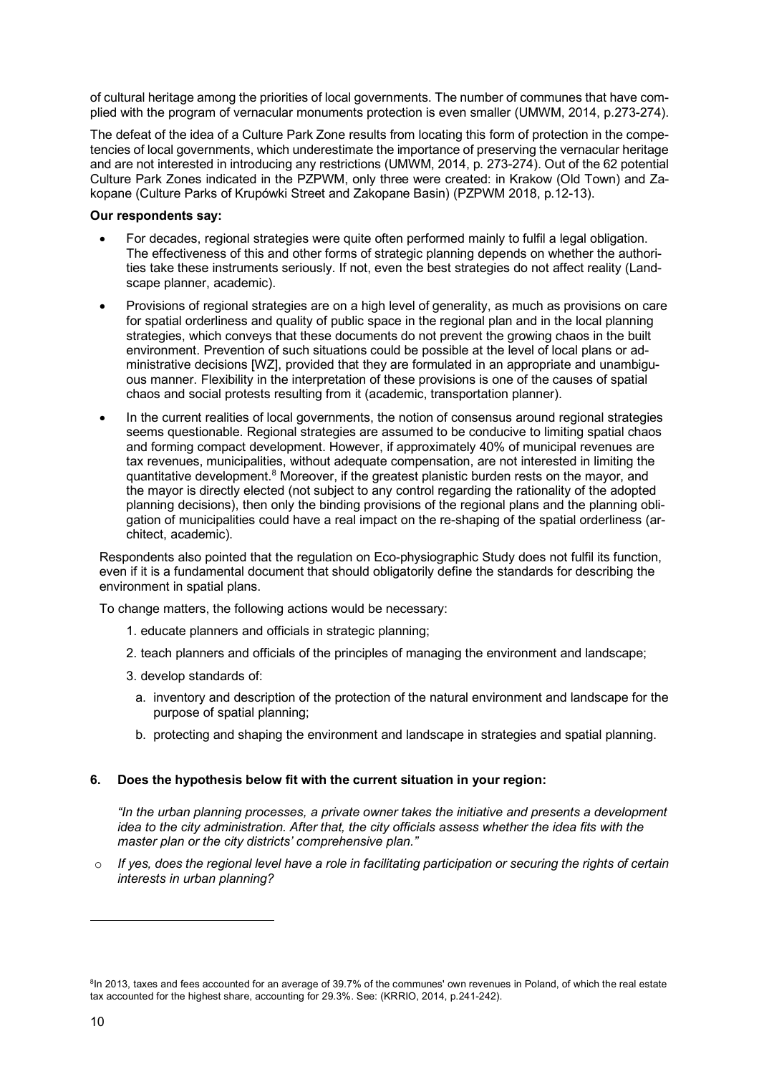of cultural heritage among the priorities of local governments. The number of communes that have complied with the program of vernacular monuments protection is even smaller (UMWM, 2014, p.273-274).

The defeat of the idea of a Culture Park Zone results from locating this form of protection in the competencies of local governments, which underestimate the importance of preserving the vernacular heritage and are not interested in introducing any restrictions (UMWM, 2014, p. 273-274). Out of the 62 potential Culture Park Zones indicated in the PZPWM, only three were created: in Krakow (Old Town) and Zakopane (Culture Parks of Krupówki Street and Zakopane Basin) (PZPWM 2018, p.12-13).

#### **Our respondents say:**

- For decades, regional strategies were quite often performed mainly to fulfil a legal obligation. The effectiveness of this and other forms of strategic planning depends on whether the authorities take these instruments seriously. If not, even the best strategies do not affect reality (Landscape planner, academic).
- Provisions of regional strategies are on a high level of generality, as much as provisions on care for spatial orderliness and quality of public space in the regional plan and in the local planning strategies, which conveys that these documents do not prevent the growing chaos in the built environment. Prevention of such situations could be possible at the level of local plans or administrative decisions [WZ], provided that they are formulated in an appropriate and unambiguous manner. Flexibility in the interpretation of these provisions is one of the causes of spatial chaos and social protests resulting from it (academic, transportation planner).
- In the current realities of local governments, the notion of consensus around regional strategies seems questionable. Regional strategies are assumed to be conducive to limiting spatial chaos and forming compact development. However, if approximately 40% of municipal revenues are tax revenues, municipalities, without adequate compensation, are not interested in limiting the quantitative development.<sup>8</sup> Moreover, if the greatest planistic burden rests on the mayor, and the mayor is directly elected (not subject to any control regarding the rationality of the adopted planning decisions), then only the binding provisions of the regional plans and the planning obligation of municipalities could have a real impact on the re-shaping of the spatial orderliness (architect, academic).

Respondents also pointed that the regulation on Eco-physiographic Study does not fulfil its function, even if it is a fundamental document that should obligatorily define the standards for describing the environment in spatial plans.

To change matters, the following actions would be necessary:

- 1. educate planners and officials in strategic planning;
- 2. teach planners and officials of the principles of managing the environment and landscape;
- 3. develop standards of:
	- a. inventory and description of the protection of the natural environment and landscape for the purpose of spatial planning;
	- b. protecting and shaping the environment and landscape in strategies and spatial planning.

# **6. Does the hypothesis below fit with the current situation in your region:**

*"In the urban planning processes, a private owner takes the initiative and presents a development idea to the city administration. After that, the city officials assess whether the idea fits with the master plan or the city districts' comprehensive plan."*

o *If yes, does the regional level have a role in facilitating participation or securing the rights of certain interests in urban planning?*

l

<sup>&</sup>lt;sup>8</sup>In 2013, taxes and fees accounted for an average of 39.7% of the communes' own revenues in Poland, of which the real estate tax accounted for the highest share, accounting for 29.3%. See: (KRRIO, 2014, p.241-242).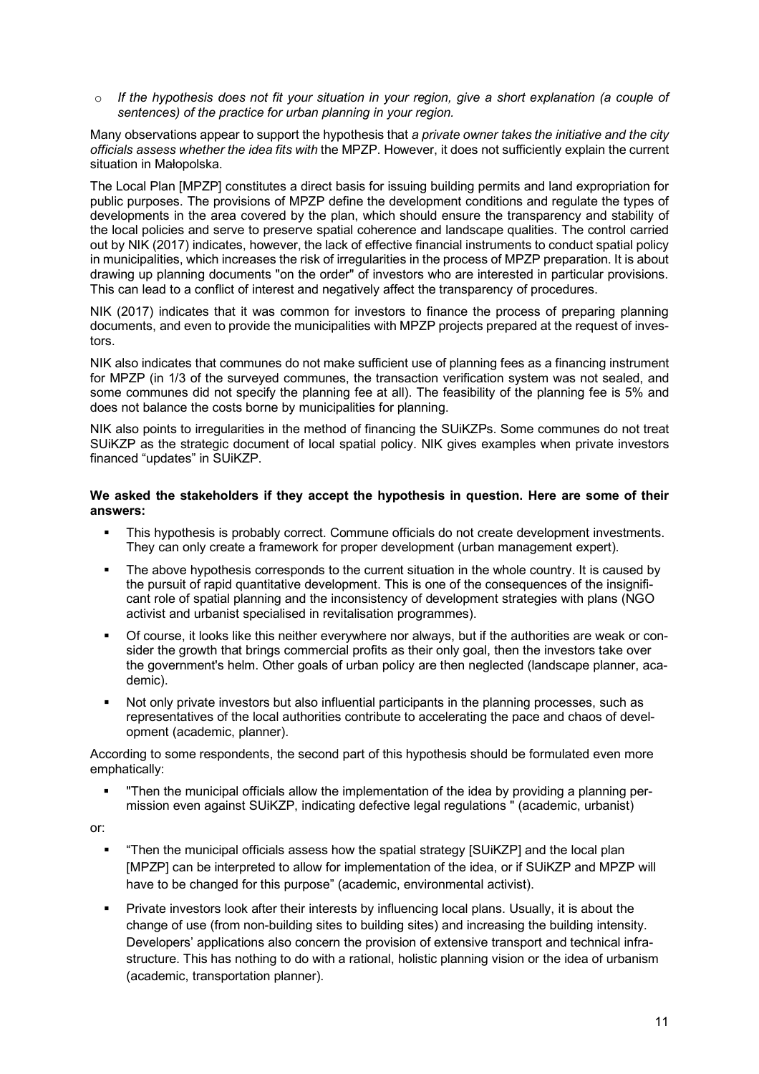o *If the hypothesis does not fit your situation in your region, give a short explanation (a couple of sentences) of the practice for urban planning in your region.*

Many observations appear to support the hypothesis that *a private owner takes the initiative and the city officials assess whether the idea fits with* the MPZP. However, it does not sufficiently explain the current situation in Małopolska.

The Local Plan [MPZP] constitutes a direct basis for issuing building permits and land expropriation for public purposes. The provisions of MPZP define the development conditions and regulate the types of developments in the area covered by the plan, which should ensure the transparency and stability of the local policies and serve to preserve spatial coherence and landscape qualities. The control carried out by NIK (2017) indicates, however, the lack of effective financial instruments to conduct spatial policy in municipalities, which increases the risk of irregularities in the process of MPZP preparation. It is about drawing up planning documents "on the order" of investors who are interested in particular provisions. This can lead to a conflict of interest and negatively affect the transparency of procedures.

NIK (2017) indicates that it was common for investors to finance the process of preparing planning documents, and even to provide the municipalities with MPZP projects prepared at the request of investors.

NIK also indicates that communes do not make sufficient use of planning fees as a financing instrument for MPZP (in 1/3 of the surveyed communes, the transaction verification system was not sealed, and some communes did not specify the planning fee at all). The feasibility of the planning fee is 5% and does not balance the costs borne by municipalities for planning.

NIK also points to irregularities in the method of financing the SUiKZPs. Some communes do not treat SUiKZP as the strategic document of local spatial policy. NIK gives examples when private investors financed "updates" in SUiKZP.

#### **We asked the stakeholders if they accept the hypothesis in question. Here are some of their answers:**

- This hypothesis is probably correct. Commune officials do not create development investments. They can only create a framework for proper development (urban management expert).
- The above hypothesis corresponds to the current situation in the whole country. It is caused by the pursuit of rapid quantitative development. This is one of the consequences of the insignificant role of spatial planning and the inconsistency of development strategies with plans (NGO activist and urbanist specialised in revitalisation programmes).
- § Of course, it looks like this neither everywhere nor always, but if the authorities are weak or consider the growth that brings commercial profits as their only goal, then the investors take over the government's helm. Other goals of urban policy are then neglected (landscape planner, academic).
- Not only private investors but also influential participants in the planning processes, such as representatives of the local authorities contribute to accelerating the pace and chaos of development (academic, planner).

According to some respondents, the second part of this hypothesis should be formulated even more emphatically:

§ "Then the municipal officials allow the implementation of the idea by providing a planning permission even against SUiKZP, indicating defective legal regulations " (academic, urbanist)

or:

- § "Then the municipal officials assess how the spatial strategy [SUiKZP] and the local plan [MPZP] can be interpreted to allow for implementation of the idea, or if SUiKZP and MPZP will have to be changed for this purpose" (academic, environmental activist).
- Private investors look after their interests by influencing local plans. Usually, it is about the change of use (from non-building sites to building sites) and increasing the building intensity. Developers' applications also concern the provision of extensive transport and technical infrastructure. This has nothing to do with a rational, holistic planning vision or the idea of urbanism (academic, transportation planner).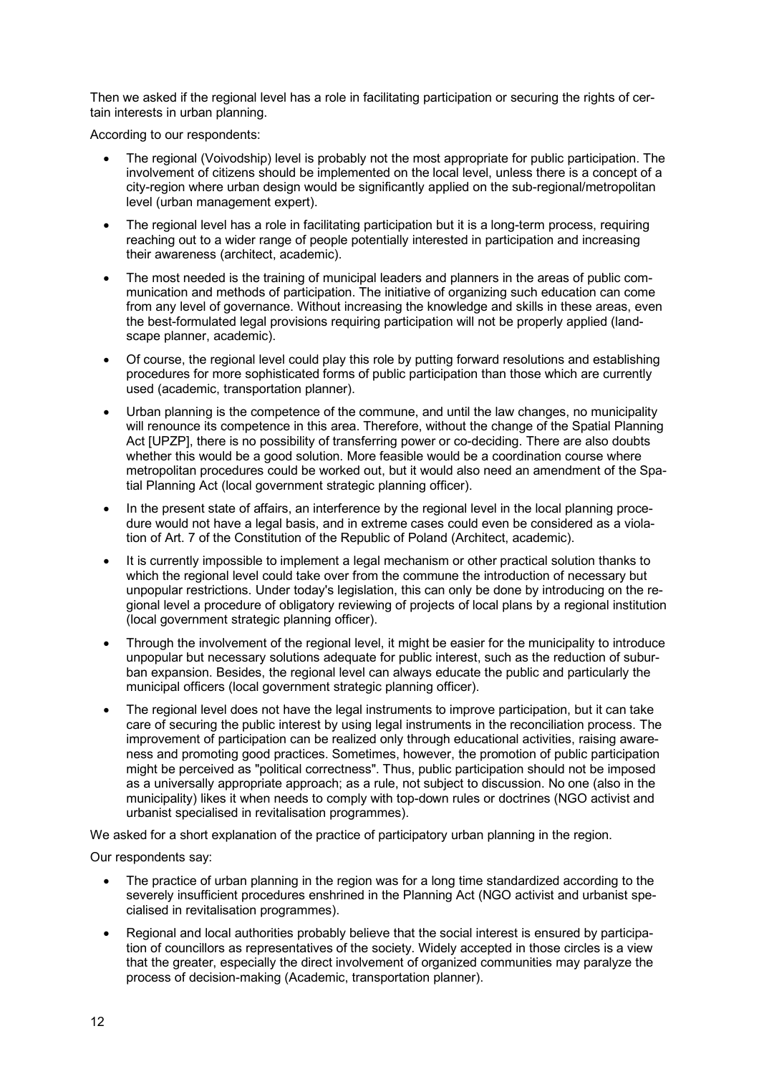Then we asked if the regional level has a role in facilitating participation or securing the rights of certain interests in urban planning.

According to our respondents:

- The regional (Voivodship) level is probably not the most appropriate for public participation. The involvement of citizens should be implemented on the local level, unless there is a concept of a city-region where urban design would be significantly applied on the sub-regional/metropolitan level (urban management expert).
- The regional level has a role in facilitating participation but it is a long-term process, requiring reaching out to a wider range of people potentially interested in participation and increasing their awareness (architect, academic).
- The most needed is the training of municipal leaders and planners in the areas of public communication and methods of participation. The initiative of organizing such education can come from any level of governance. Without increasing the knowledge and skills in these areas, even the best-formulated legal provisions requiring participation will not be properly applied (landscape planner, academic).
- Of course, the regional level could play this role by putting forward resolutions and establishing procedures for more sophisticated forms of public participation than those which are currently used (academic, transportation planner).
- Urban planning is the competence of the commune, and until the law changes, no municipality will renounce its competence in this area. Therefore, without the change of the Spatial Planning Act [UPZP], there is no possibility of transferring power or co-deciding. There are also doubts whether this would be a good solution. More feasible would be a coordination course where metropolitan procedures could be worked out, but it would also need an amendment of the Spatial Planning Act (local government strategic planning officer).
- In the present state of affairs, an interference by the regional level in the local planning procedure would not have a legal basis, and in extreme cases could even be considered as a violation of Art. 7 of the Constitution of the Republic of Poland (Architect, academic).
- It is currently impossible to implement a legal mechanism or other practical solution thanks to which the regional level could take over from the commune the introduction of necessary but unpopular restrictions. Under today's legislation, this can only be done by introducing on the regional level a procedure of obligatory reviewing of projects of local plans by a regional institution (local government strategic planning officer).
- Through the involvement of the regional level, it might be easier for the municipality to introduce unpopular but necessary solutions adequate for public interest, such as the reduction of suburban expansion. Besides, the regional level can always educate the public and particularly the municipal officers (local government strategic planning officer).
- The regional level does not have the legal instruments to improve participation, but it can take care of securing the public interest by using legal instruments in the reconciliation process. The improvement of participation can be realized only through educational activities, raising awareness and promoting good practices. Sometimes, however, the promotion of public participation might be perceived as "political correctness". Thus, public participation should not be imposed as a universally appropriate approach; as a rule, not subject to discussion. No one (also in the municipality) likes it when needs to comply with top-down rules or doctrines (NGO activist and urbanist specialised in revitalisation programmes).

We asked for a short explanation of the practice of participatory urban planning in the region.

Our respondents say:

- The practice of urban planning in the region was for a long time standardized according to the severely insufficient procedures enshrined in the Planning Act (NGO activist and urbanist specialised in revitalisation programmes).
- Regional and local authorities probably believe that the social interest is ensured by participation of councillors as representatives of the society. Widely accepted in those circles is a view that the greater, especially the direct involvement of organized communities may paralyze the process of decision-making (Academic, transportation planner).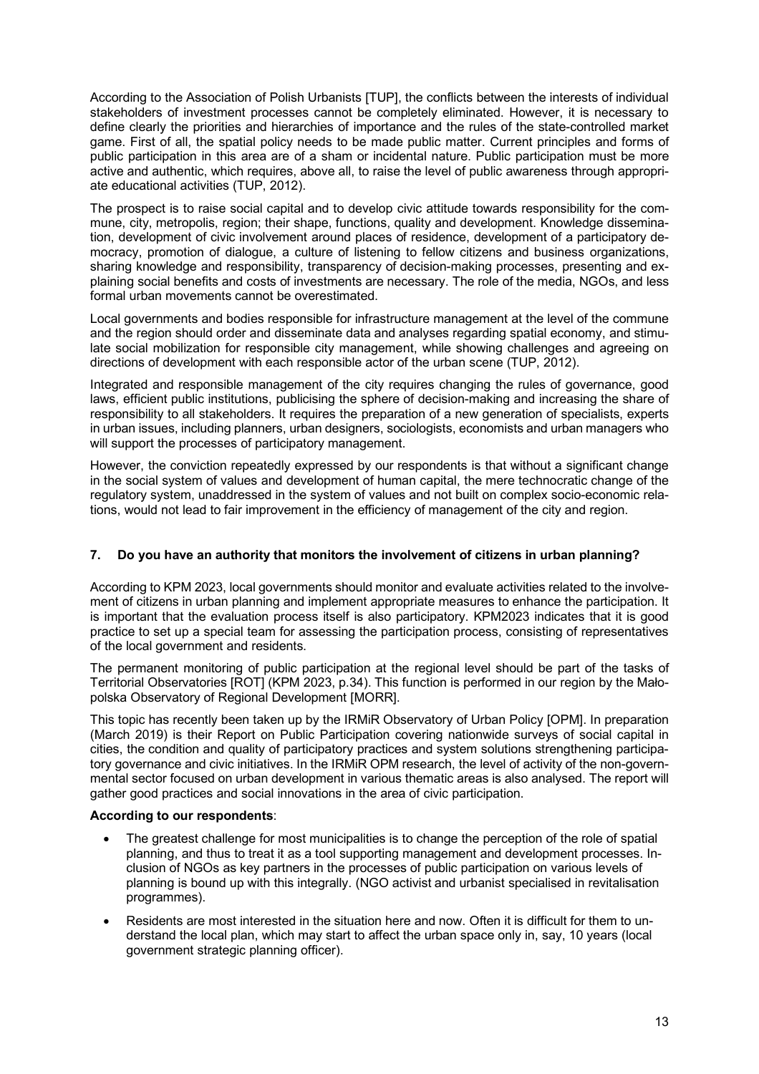According to the Association of Polish Urbanists [TUP], the conflicts between the interests of individual stakeholders of investment processes cannot be completely eliminated. However, it is necessary to define clearly the priorities and hierarchies of importance and the rules of the state-controlled market game. First of all, the spatial policy needs to be made public matter. Current principles and forms of public participation in this area are of a sham or incidental nature. Public participation must be more active and authentic, which requires, above all, to raise the level of public awareness through appropriate educational activities (TUP, 2012).

The prospect is to raise social capital and to develop civic attitude towards responsibility for the commune, city, metropolis, region; their shape, functions, quality and development. Knowledge dissemination, development of civic involvement around places of residence, development of a participatory democracy, promotion of dialogue, a culture of listening to fellow citizens and business organizations, sharing knowledge and responsibility, transparency of decision-making processes, presenting and explaining social benefits and costs of investments are necessary. The role of the media, NGOs, and less formal urban movements cannot be overestimated.

Local governments and bodies responsible for infrastructure management at the level of the commune and the region should order and disseminate data and analyses regarding spatial economy, and stimulate social mobilization for responsible city management, while showing challenges and agreeing on directions of development with each responsible actor of the urban scene (TUP, 2012).

Integrated and responsible management of the city requires changing the rules of governance, good laws, efficient public institutions, publicising the sphere of decision-making and increasing the share of responsibility to all stakeholders. It requires the preparation of a new generation of specialists, experts in urban issues, including planners, urban designers, sociologists, economists and urban managers who will support the processes of participatory management.

However, the conviction repeatedly expressed by our respondents is that without a significant change in the social system of values and development of human capital, the mere technocratic change of the regulatory system, unaddressed in the system of values and not built on complex socio-economic relations, would not lead to fair improvement in the efficiency of management of the city and region.

# **7. Do you have an authority that monitors the involvement of citizens in urban planning?**

According to KPM 2023, local governments should monitor and evaluate activities related to the involvement of citizens in urban planning and implement appropriate measures to enhance the participation. It is important that the evaluation process itself is also participatory. KPM2023 indicates that it is good practice to set up a special team for assessing the participation process, consisting of representatives of the local government and residents.

The permanent monitoring of public participation at the regional level should be part of the tasks of Territorial Observatories [ROT] (KPM 2023, p.34). This function is performed in our region by the Małopolska Observatory of Regional Development [MORR].

This topic has recently been taken up by the IRMiR Observatory of Urban Policy [OPM]. In preparation (March 2019) is their Report on Public Participation covering nationwide surveys of social capital in cities, the condition and quality of participatory practices and system solutions strengthening participatory governance and civic initiatives. In the IRMiR OPM research, the level of activity of the non-governmental sector focused on urban development in various thematic areas is also analysed. The report will gather good practices and social innovations in the area of civic participation.

# **According to our respondents**:

- The greatest challenge for most municipalities is to change the perception of the role of spatial planning, and thus to treat it as a tool supporting management and development processes. Inclusion of NGOs as key partners in the processes of public participation on various levels of planning is bound up with this integrally. (NGO activist and urbanist specialised in revitalisation programmes).
- Residents are most interested in the situation here and now. Often it is difficult for them to understand the local plan, which may start to affect the urban space only in, say, 10 years (local government strategic planning officer).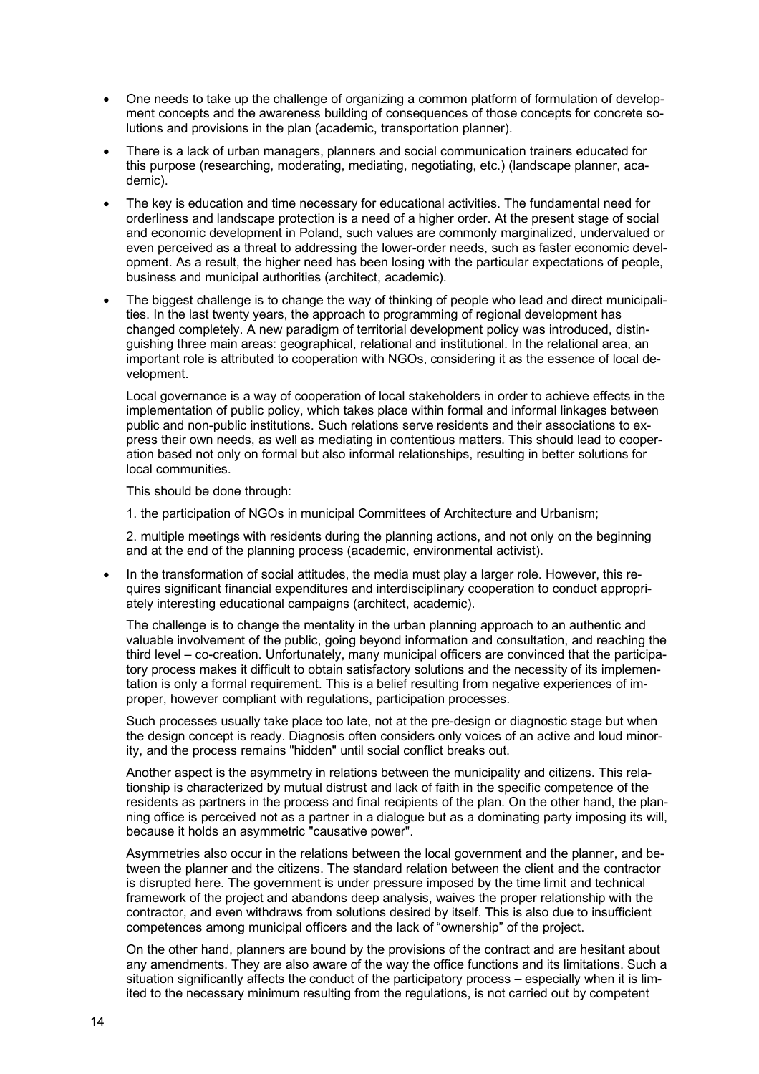- One needs to take up the challenge of organizing a common platform of formulation of development concepts and the awareness building of consequences of those concepts for concrete solutions and provisions in the plan (academic, transportation planner).
- There is a lack of urban managers, planners and social communication trainers educated for this purpose (researching, moderating, mediating, negotiating, etc.) (landscape planner, academic).
- The key is education and time necessary for educational activities. The fundamental need for orderliness and landscape protection is a need of a higher order. At the present stage of social and economic development in Poland, such values are commonly marginalized, undervalued or even perceived as a threat to addressing the lower-order needs, such as faster economic development. As a result, the higher need has been losing with the particular expectations of people, business and municipal authorities (architect, academic).
- The biggest challenge is to change the way of thinking of people who lead and direct municipalities. In the last twenty years, the approach to programming of regional development has changed completely. A new paradigm of territorial development policy was introduced, distinguishing three main areas: geographical, relational and institutional. In the relational area, an important role is attributed to cooperation with NGOs, considering it as the essence of local development.

Local governance is a way of cooperation of local stakeholders in order to achieve effects in the implementation of public policy, which takes place within formal and informal linkages between public and non-public institutions. Such relations serve residents and their associations to express their own needs, as well as mediating in contentious matters. This should lead to cooperation based not only on formal but also informal relationships, resulting in better solutions for local communities.

This should be done through:

1. the participation of NGOs in municipal Committees of Architecture and Urbanism;

2. multiple meetings with residents during the planning actions, and not only on the beginning and at the end of the planning process (academic, environmental activist).

• In the transformation of social attitudes, the media must play a larger role. However, this requires significant financial expenditures and interdisciplinary cooperation to conduct appropriately interesting educational campaigns (architect, academic).

The challenge is to change the mentality in the urban planning approach to an authentic and valuable involvement of the public, going beyond information and consultation, and reaching the third level – co-creation. Unfortunately, many municipal officers are convinced that the participatory process makes it difficult to obtain satisfactory solutions and the necessity of its implementation is only a formal requirement. This is a belief resulting from negative experiences of improper, however compliant with regulations, participation processes.

Such processes usually take place too late, not at the pre-design or diagnostic stage but when the design concept is ready. Diagnosis often considers only voices of an active and loud minority, and the process remains "hidden" until social conflict breaks out.

Another aspect is the asymmetry in relations between the municipality and citizens. This relationship is characterized by mutual distrust and lack of faith in the specific competence of the residents as partners in the process and final recipients of the plan. On the other hand, the planning office is perceived not as a partner in a dialogue but as a dominating party imposing its will, because it holds an asymmetric "causative power".

Asymmetries also occur in the relations between the local government and the planner, and between the planner and the citizens. The standard relation between the client and the contractor is disrupted here. The government is under pressure imposed by the time limit and technical framework of the project and abandons deep analysis, waives the proper relationship with the contractor, and even withdraws from solutions desired by itself. This is also due to insufficient competences among municipal officers and the lack of "ownership" of the project.

On the other hand, planners are bound by the provisions of the contract and are hesitant about any amendments. They are also aware of the way the office functions and its limitations. Such a situation significantly affects the conduct of the participatory process – especially when it is limited to the necessary minimum resulting from the regulations, is not carried out by competent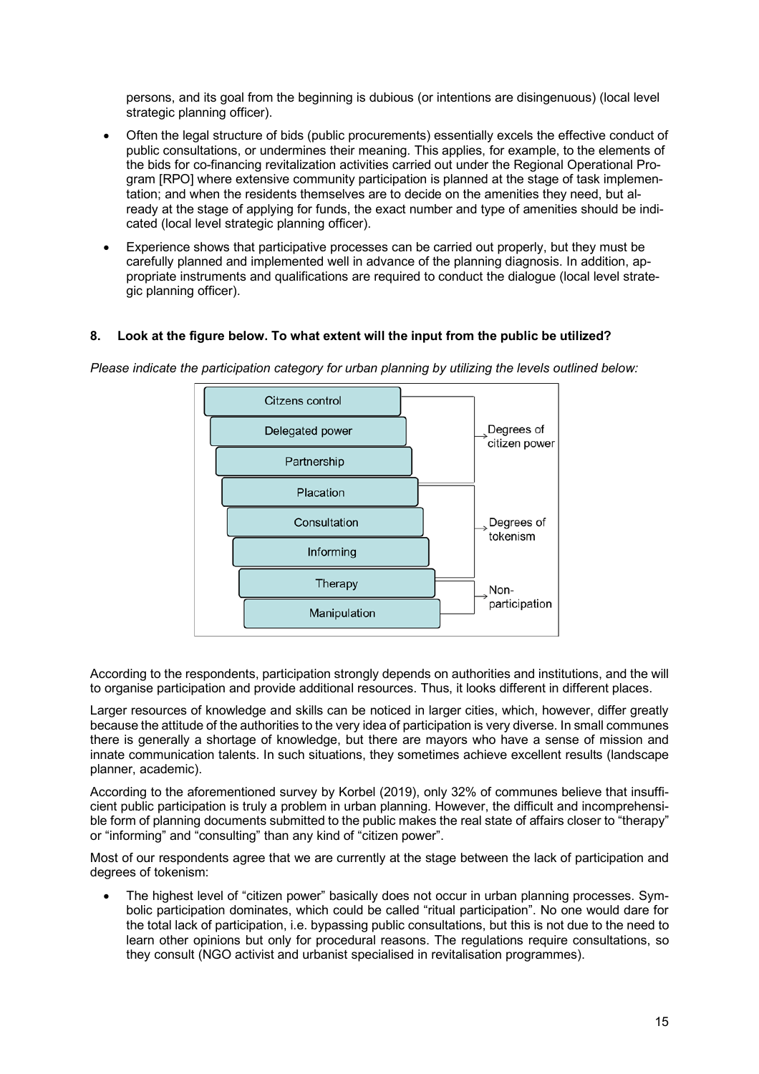persons, and its goal from the beginning is dubious (or intentions are disingenuous) (local level strategic planning officer).

- Often the legal structure of bids (public procurements) essentially excels the effective conduct of public consultations, or undermines their meaning. This applies, for example, to the elements of the bids for co-financing revitalization activities carried out under the Regional Operational Program [RPO] where extensive community participation is planned at the stage of task implementation; and when the residents themselves are to decide on the amenities they need, but already at the stage of applying for funds, the exact number and type of amenities should be indicated (local level strategic planning officer).
- Experience shows that participative processes can be carried out properly, but they must be carefully planned and implemented well in advance of the planning diagnosis. In addition, appropriate instruments and qualifications are required to conduct the dialogue (local level strategic planning officer).

# **8. Look at the figure below. To what extent will the input from the public be utilized?**

*Please indicate the participation category for urban planning by utilizing the levels outlined below:* 



According to the respondents, participation strongly depends on authorities and institutions, and the will to organise participation and provide additional resources. Thus, it looks different in different places.

Larger resources of knowledge and skills can be noticed in larger cities, which, however, differ greatly because the attitude of the authorities to the very idea of participation is very diverse. In small communes there is generally a shortage of knowledge, but there are mayors who have a sense of mission and innate communication talents. In such situations, they sometimes achieve excellent results (landscape planner, academic).

According to the aforementioned survey by Korbel (2019), only 32% of communes believe that insufficient public participation is truly a problem in urban planning. However, the difficult and incomprehensible form of planning documents submitted to the public makes the real state of affairs closer to "therapy" or "informing" and "consulting" than any kind of "citizen power".

Most of our respondents agree that we are currently at the stage between the lack of participation and degrees of tokenism:

• The highest level of "citizen power" basically does not occur in urban planning processes. Symbolic participation dominates, which could be called "ritual participation". No one would dare for the total lack of participation, i.e. bypassing public consultations, but this is not due to the need to learn other opinions but only for procedural reasons. The regulations require consultations, so they consult (NGO activist and urbanist specialised in revitalisation programmes).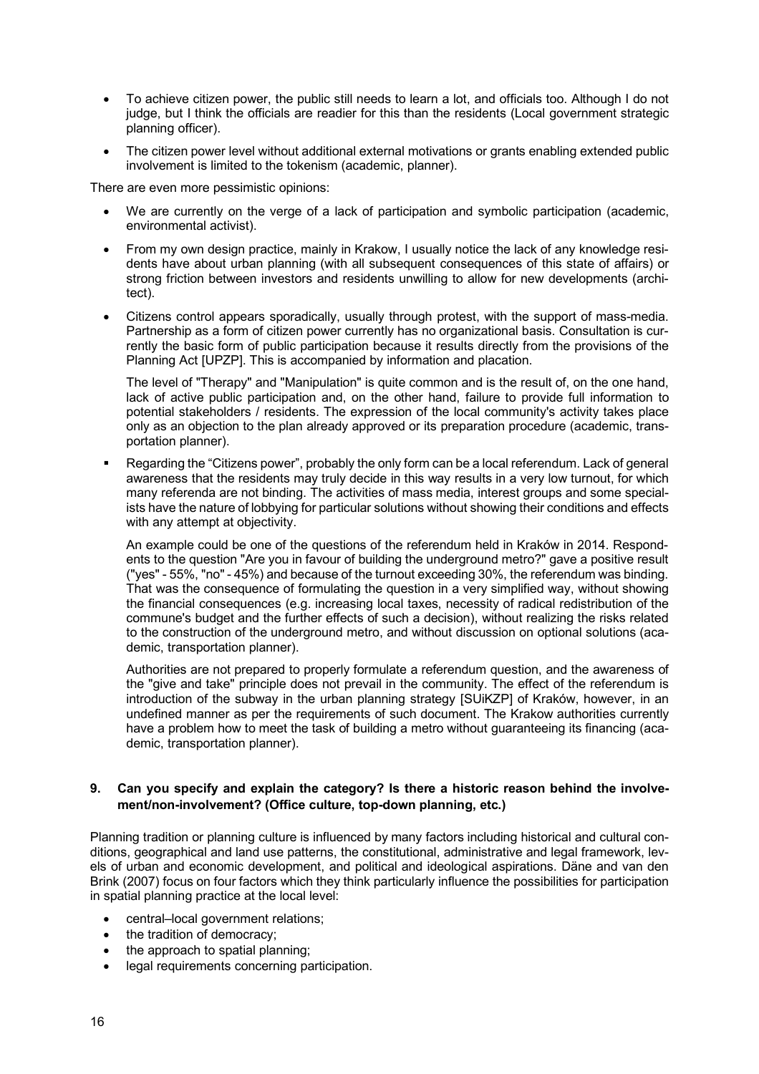- To achieve citizen power, the public still needs to learn a lot, and officials too. Although I do not judge, but I think the officials are readier for this than the residents (Local government strategic planning officer).
- The citizen power level without additional external motivations or grants enabling extended public involvement is limited to the tokenism (academic, planner).

There are even more pessimistic opinions:

- We are currently on the verge of a lack of participation and symbolic participation (academic, environmental activist).
- From my own design practice, mainly in Krakow, I usually notice the lack of any knowledge residents have about urban planning (with all subsequent consequences of this state of affairs) or strong friction between investors and residents unwilling to allow for new developments (architect).
- Citizens control appears sporadically, usually through protest, with the support of mass-media. Partnership as a form of citizen power currently has no organizational basis. Consultation is currently the basic form of public participation because it results directly from the provisions of the Planning Act [UPZP]. This is accompanied by information and placation.

The level of "Therapy" and "Manipulation" is quite common and is the result of, on the one hand, lack of active public participation and, on the other hand, failure to provide full information to potential stakeholders / residents. The expression of the local community's activity takes place only as an objection to the plan already approved or its preparation procedure (academic, transportation planner).

Regarding the "Citizens power", probably the only form can be a local referendum. Lack of general awareness that the residents may truly decide in this way results in a very low turnout, for which many referenda are not binding. The activities of mass media, interest groups and some specialists have the nature of lobbying for particular solutions without showing their conditions and effects with any attempt at objectivity.

An example could be one of the questions of the referendum held in Kraków in 2014. Respondents to the question "Are you in favour of building the underground metro?" gave a positive result ("yes" - 55%, "no" - 45%) and because of the turnout exceeding 30%, the referendum was binding. That was the consequence of formulating the question in a very simplified way, without showing the financial consequences (e.g. increasing local taxes, necessity of radical redistribution of the commune's budget and the further effects of such a decision), without realizing the risks related to the construction of the underground metro, and without discussion on optional solutions (academic, transportation planner).

Authorities are not prepared to properly formulate a referendum question, and the awareness of the "give and take" principle does not prevail in the community. The effect of the referendum is introduction of the subway in the urban planning strategy [SUiKZP] of Kraków, however, in an undefined manner as per the requirements of such document. The Krakow authorities currently have a problem how to meet the task of building a metro without guaranteeing its financing (academic, transportation planner).

# **9. Can you specify and explain the category? Is there a historic reason behind the involvement/non-involvement? (Office culture, top-down planning, etc.)**

Planning tradition or planning culture is influenced by many factors including historical and cultural conditions, geographical and land use patterns, the constitutional, administrative and legal framework, levels of urban and economic development, and political and ideological aspirations. Däne and van den Brink (2007) focus on four factors which they think particularly influence the possibilities for participation in spatial planning practice at the local level:

- central–local government relations;
- the tradition of democracy:
- the approach to spatial planning;
- legal requirements concerning participation.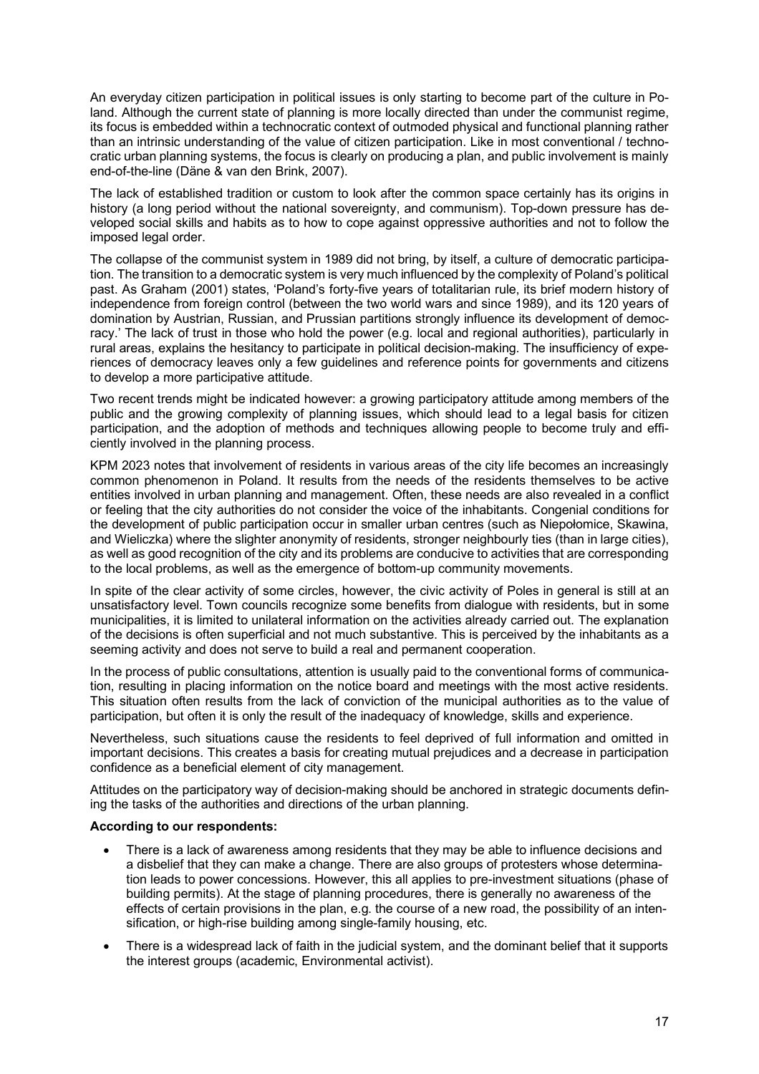An everyday citizen participation in political issues is only starting to become part of the culture in Poland. Although the current state of planning is more locally directed than under the communist regime, its focus is embedded within a technocratic context of outmoded physical and functional planning rather than an intrinsic understanding of the value of citizen participation. Like in most conventional / technocratic urban planning systems, the focus is clearly on producing a plan, and public involvement is mainly end-of-the-line (Däne & van den Brink, 2007).

The lack of established tradition or custom to look after the common space certainly has its origins in history (a long period without the national sovereignty, and communism). Top-down pressure has developed social skills and habits as to how to cope against oppressive authorities and not to follow the imposed legal order.

The collapse of the communist system in 1989 did not bring, by itself, a culture of democratic participation. The transition to a democratic system is very much influenced by the complexity of Poland's political past. As Graham (2001) states, 'Poland's forty-five years of totalitarian rule, its brief modern history of independence from foreign control (between the two world wars and since 1989), and its 120 years of domination by Austrian, Russian, and Prussian partitions strongly influence its development of democracy.' The lack of trust in those who hold the power (e.g. local and regional authorities), particularly in rural areas, explains the hesitancy to participate in political decision-making. The insufficiency of experiences of democracy leaves only a few guidelines and reference points for governments and citizens to develop a more participative attitude.

Two recent trends might be indicated however: a growing participatory attitude among members of the public and the growing complexity of planning issues, which should lead to a legal basis for citizen participation, and the adoption of methods and techniques allowing people to become truly and efficiently involved in the planning process.

KPM 2023 notes that involvement of residents in various areas of the city life becomes an increasingly common phenomenon in Poland. It results from the needs of the residents themselves to be active entities involved in urban planning and management. Often, these needs are also revealed in a conflict or feeling that the city authorities do not consider the voice of the inhabitants. Congenial conditions for the development of public participation occur in smaller urban centres (such as Niepołomice, Skawina, and Wieliczka) where the slighter anonymity of residents, stronger neighbourly ties (than in large cities), as well as good recognition of the city and its problems are conducive to activities that are corresponding to the local problems, as well as the emergence of bottom-up community movements.

In spite of the clear activity of some circles, however, the civic activity of Poles in general is still at an unsatisfactory level. Town councils recognize some benefits from dialogue with residents, but in some municipalities, it is limited to unilateral information on the activities already carried out. The explanation of the decisions is often superficial and not much substantive. This is perceived by the inhabitants as a seeming activity and does not serve to build a real and permanent cooperation.

In the process of public consultations, attention is usually paid to the conventional forms of communication, resulting in placing information on the notice board and meetings with the most active residents. This situation often results from the lack of conviction of the municipal authorities as to the value of participation, but often it is only the result of the inadequacy of knowledge, skills and experience.

Nevertheless, such situations cause the residents to feel deprived of full information and omitted in important decisions. This creates a basis for creating mutual prejudices and a decrease in participation confidence as a beneficial element of city management.

Attitudes on the participatory way of decision-making should be anchored in strategic documents defining the tasks of the authorities and directions of the urban planning.

#### **According to our respondents:**

- There is a lack of awareness among residents that they may be able to influence decisions and a disbelief that they can make a change. There are also groups of protesters whose determination leads to power concessions. However, this all applies to pre-investment situations (phase of building permits). At the stage of planning procedures, there is generally no awareness of the effects of certain provisions in the plan, e.g. the course of a new road, the possibility of an intensification, or high-rise building among single-family housing, etc.
- There is a widespread lack of faith in the judicial system, and the dominant belief that it supports the interest groups (academic, Environmental activist).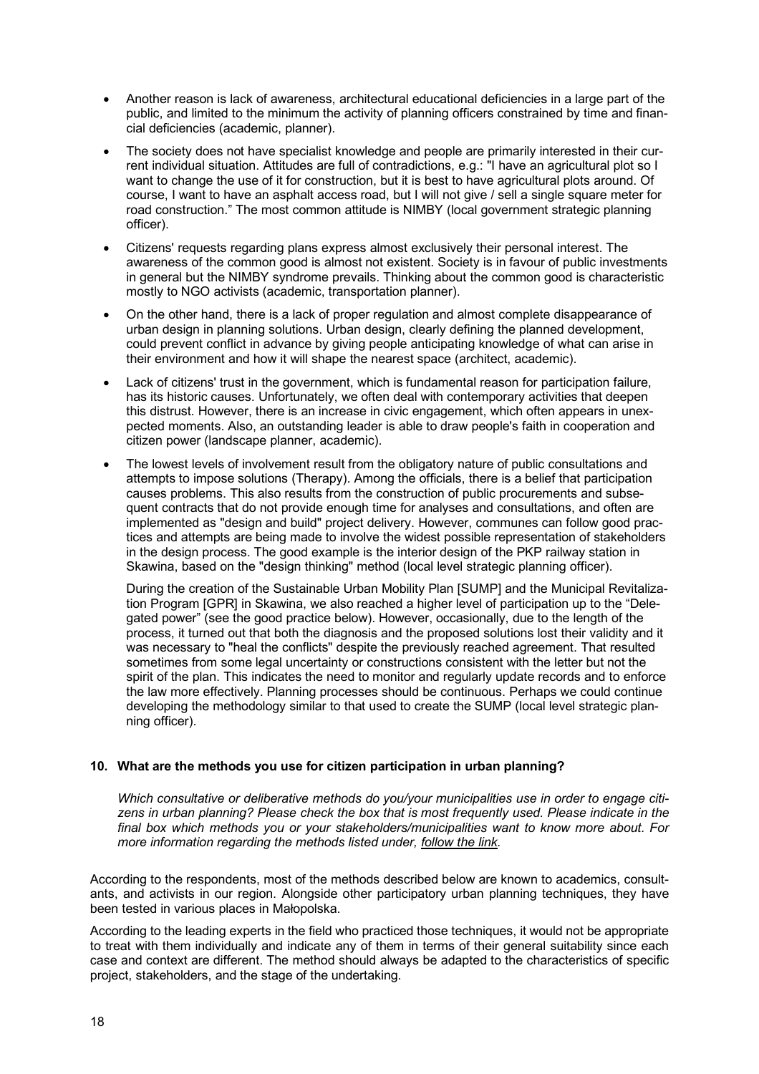- Another reason is lack of awareness, architectural educational deficiencies in a large part of the public, and limited to the minimum the activity of planning officers constrained by time and financial deficiencies (academic, planner).
- The society does not have specialist knowledge and people are primarily interested in their current individual situation. Attitudes are full of contradictions, e.g.: "I have an agricultural plot so I want to change the use of it for construction, but it is best to have agricultural plots around. Of course, I want to have an asphalt access road, but I will not give / sell a single square meter for road construction." The most common attitude is NIMBY (local government strategic planning officer).
- Citizens' requests regarding plans express almost exclusively their personal interest. The awareness of the common good is almost not existent. Society is in favour of public investments in general but the NIMBY syndrome prevails. Thinking about the common good is characteristic mostly to NGO activists (academic, transportation planner).
- On the other hand, there is a lack of proper regulation and almost complete disappearance of urban design in planning solutions. Urban design, clearly defining the planned development, could prevent conflict in advance by giving people anticipating knowledge of what can arise in their environment and how it will shape the nearest space (architect, academic).
- Lack of citizens' trust in the government, which is fundamental reason for participation failure, has its historic causes. Unfortunately, we often deal with contemporary activities that deepen this distrust. However, there is an increase in civic engagement, which often appears in unexpected moments. Also, an outstanding leader is able to draw people's faith in cooperation and citizen power (landscape planner, academic).
- The lowest levels of involvement result from the obligatory nature of public consultations and attempts to impose solutions (Therapy). Among the officials, there is a belief that participation causes problems. This also results from the construction of public procurements and subsequent contracts that do not provide enough time for analyses and consultations, and often are implemented as "design and build" project delivery. However, communes can follow good practices and attempts are being made to involve the widest possible representation of stakeholders in the design process. The good example is the interior design of the PKP railway station in Skawina, based on the "design thinking" method (local level strategic planning officer).

During the creation of the Sustainable Urban Mobility Plan [SUMP] and the Municipal Revitalization Program [GPR] in Skawina, we also reached a higher level of participation up to the "Delegated power" (see the good practice below). However, occasionally, due to the length of the process, it turned out that both the diagnosis and the proposed solutions lost their validity and it was necessary to "heal the conflicts" despite the previously reached agreement. That resulted sometimes from some legal uncertainty or constructions consistent with the letter but not the spirit of the plan. This indicates the need to monitor and regularly update records and to enforce the law more effectively. Planning processes should be continuous. Perhaps we could continue developing the methodology similar to that used to create the SUMP (local level strategic planning officer).

# **10. What are the methods you use for citizen participation in urban planning?**

*Which consultative or deliberative methods do you/your municipalities use in order to engage citizens in urban planning? Please check the box that is most frequently used. Please indicate in the final box which methods you or your stakeholders/municipalities want to know more about. For more information regarding the methods listed under, follow the link.*

According to the respondents, most of the methods described below are known to academics, consultants, and activists in our region. Alongside other participatory urban planning techniques, they have been tested in various places in Małopolska.

According to the leading experts in the field who practiced those techniques, it would not be appropriate to treat with them individually and indicate any of them in terms of their general suitability since each case and context are different. The method should always be adapted to the characteristics of specific project, stakeholders, and the stage of the undertaking.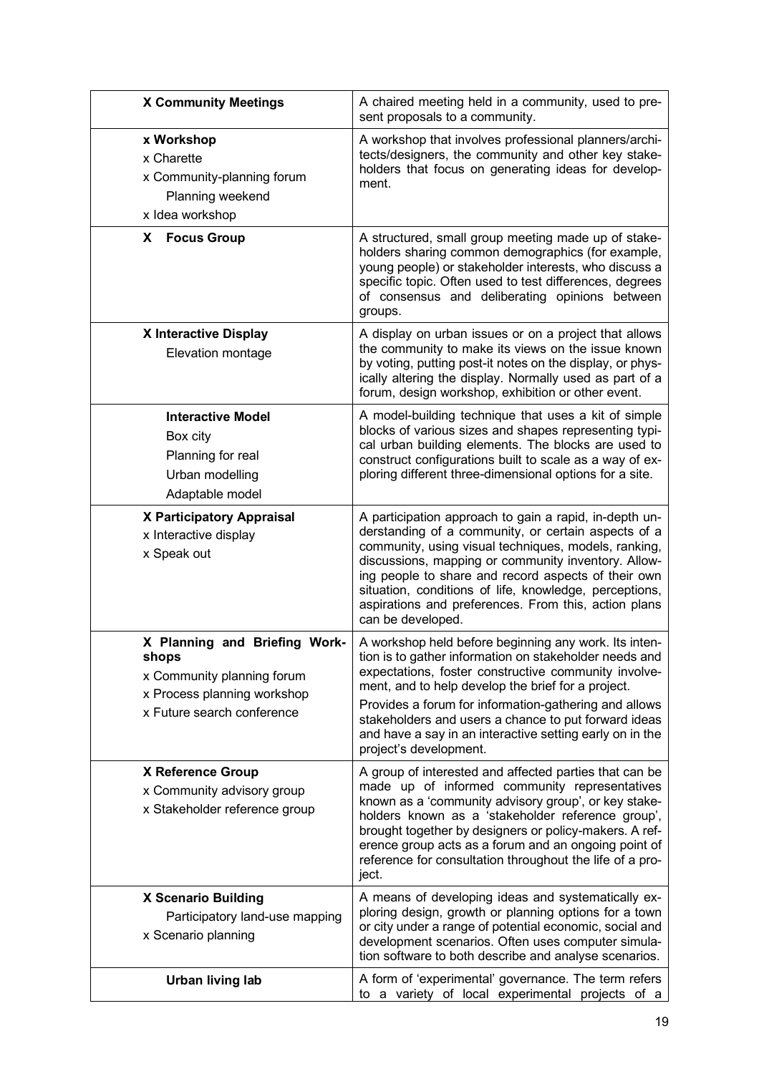| <b>X Community Meetings</b>                                                                                                       | A chaired meeting held in a community, used to pre-<br>sent proposals to a community.                                                                                                                                                                                                                                                                                                                                                |
|-----------------------------------------------------------------------------------------------------------------------------------|--------------------------------------------------------------------------------------------------------------------------------------------------------------------------------------------------------------------------------------------------------------------------------------------------------------------------------------------------------------------------------------------------------------------------------------|
| x Workshop<br>x Charette<br>x Community-planning forum<br>Planning weekend<br>x Idea workshop                                     | A workshop that involves professional planners/archi-<br>tects/designers, the community and other key stake-<br>holders that focus on generating ideas for develop-<br>ment.                                                                                                                                                                                                                                                         |
| X Focus Group                                                                                                                     | A structured, small group meeting made up of stake-<br>holders sharing common demographics (for example,<br>young people) or stakeholder interests, who discuss a<br>specific topic. Often used to test differences, degrees<br>of consensus and deliberating opinions between<br>groups.                                                                                                                                            |
| X Interactive Display<br>Elevation montage                                                                                        | A display on urban issues or on a project that allows<br>the community to make its views on the issue known<br>by voting, putting post-it notes on the display, or phys-<br>ically altering the display. Normally used as part of a<br>forum, design workshop, exhibition or other event.                                                                                                                                            |
| <b>Interactive Model</b><br>Box city<br>Planning for real<br>Urban modelling<br>Adaptable model                                   | A model-building technique that uses a kit of simple<br>blocks of various sizes and shapes representing typi-<br>cal urban building elements. The blocks are used to<br>construct configurations built to scale as a way of ex-<br>ploring different three-dimensional options for a site.                                                                                                                                           |
| <b>X Participatory Appraisal</b><br>x Interactive display<br>x Speak out                                                          | A participation approach to gain a rapid, in-depth un-<br>derstanding of a community, or certain aspects of a<br>community, using visual techniques, models, ranking,<br>discussions, mapping or community inventory. Allow-<br>ing people to share and record aspects of their own<br>situation, conditions of life, knowledge, perceptions,<br>aspirations and preferences. From this, action plans<br>can be developed.           |
| X Planning and Briefing Work-<br>shops<br>x Community planning forum<br>x Process planning workshop<br>x Future search conference | A workshop held before beginning any work. Its inten-<br>tion is to gather information on stakeholder needs and<br>expectations, foster constructive community involve-<br>ment, and to help develop the brief for a project.<br>Provides a forum for information-gathering and allows<br>stakeholders and users a chance to put forward ideas<br>and have a say in an interactive setting early on in the<br>project's development. |
| X Reference Group<br>x Community advisory group<br>x Stakeholder reference group                                                  | A group of interested and affected parties that can be<br>made up of informed community representatives<br>known as a 'community advisory group', or key stake-<br>holders known as a 'stakeholder reference group',<br>brought together by designers or policy-makers. A ref-<br>erence group acts as a forum and an ongoing point of<br>reference for consultation throughout the life of a pro-<br>ject.                          |
| <b>X Scenario Building</b><br>Participatory land-use mapping<br>x Scenario planning                                               | A means of developing ideas and systematically ex-<br>ploring design, growth or planning options for a town<br>or city under a range of potential economic, social and<br>development scenarios. Often uses computer simula-<br>tion software to both describe and analyse scenarios.                                                                                                                                                |
| <b>Urban living lab</b>                                                                                                           | A form of 'experimental' governance. The term refers<br>to a variety of local experimental projects of a                                                                                                                                                                                                                                                                                                                             |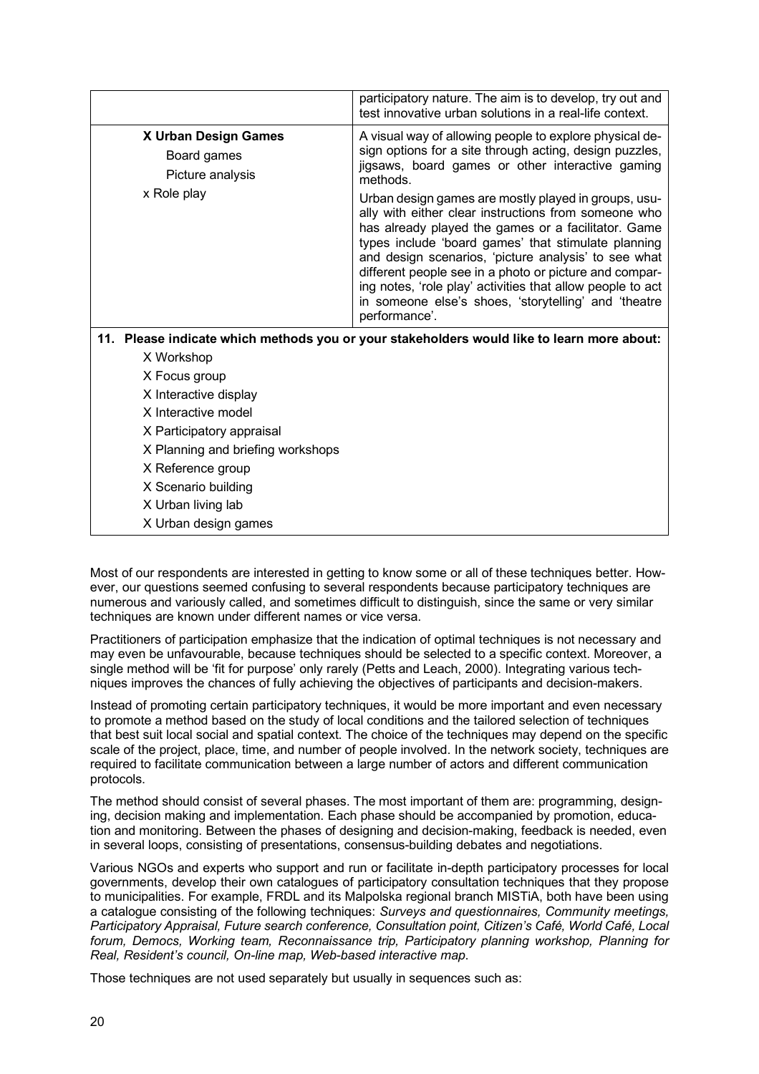|                                                                                            | participatory nature. The aim is to develop, try out and<br>test innovative urban solutions in a real-life context.                                                                                                                                                                                                                                                                                                                                                                                                                                                                                                                                                       |  |
|--------------------------------------------------------------------------------------------|---------------------------------------------------------------------------------------------------------------------------------------------------------------------------------------------------------------------------------------------------------------------------------------------------------------------------------------------------------------------------------------------------------------------------------------------------------------------------------------------------------------------------------------------------------------------------------------------------------------------------------------------------------------------------|--|
| <b>X Urban Design Games</b><br>Board games<br>Picture analysis<br>x Role play              | A visual way of allowing people to explore physical de-<br>sign options for a site through acting, design puzzles,<br>jigsaws, board games or other interactive gaming<br>methods.<br>Urban design games are mostly played in groups, usu-<br>ally with either clear instructions from someone who<br>has already played the games or a facilitator. Game<br>types include 'board games' that stimulate planning<br>and design scenarios, 'picture analysis' to see what<br>different people see in a photo or picture and compar-<br>ing notes, 'role play' activities that allow people to act<br>in someone else's shoes, 'storytelling' and 'theatre<br>performance'. |  |
| 11. Please indicate which methods you or your stakeholders would like to learn more about: |                                                                                                                                                                                                                                                                                                                                                                                                                                                                                                                                                                                                                                                                           |  |
| X Workshop                                                                                 |                                                                                                                                                                                                                                                                                                                                                                                                                                                                                                                                                                                                                                                                           |  |
| X Focus group                                                                              |                                                                                                                                                                                                                                                                                                                                                                                                                                                                                                                                                                                                                                                                           |  |
| X Interactive display                                                                      |                                                                                                                                                                                                                                                                                                                                                                                                                                                                                                                                                                                                                                                                           |  |
| X Interactive model                                                                        |                                                                                                                                                                                                                                                                                                                                                                                                                                                                                                                                                                                                                                                                           |  |
| X Participatory appraisal                                                                  |                                                                                                                                                                                                                                                                                                                                                                                                                                                                                                                                                                                                                                                                           |  |
| X Planning and briefing workshops                                                          |                                                                                                                                                                                                                                                                                                                                                                                                                                                                                                                                                                                                                                                                           |  |
| X Reference group                                                                          |                                                                                                                                                                                                                                                                                                                                                                                                                                                                                                                                                                                                                                                                           |  |
| X Scenario building                                                                        |                                                                                                                                                                                                                                                                                                                                                                                                                                                                                                                                                                                                                                                                           |  |
| X Urban living lab                                                                         |                                                                                                                                                                                                                                                                                                                                                                                                                                                                                                                                                                                                                                                                           |  |
| X Urban design games                                                                       |                                                                                                                                                                                                                                                                                                                                                                                                                                                                                                                                                                                                                                                                           |  |

Most of our respondents are interested in getting to know some or all of these techniques better. However, our questions seemed confusing to several respondents because participatory techniques are numerous and variously called, and sometimes difficult to distinguish, since the same or very similar techniques are known under different names or vice versa.

Practitioners of participation emphasize that the indication of optimal techniques is not necessary and may even be unfavourable, because techniques should be selected to a specific context. Moreover, a single method will be 'fit for purpose' only rarely (Petts and Leach, 2000). Integrating various techniques improves the chances of fully achieving the objectives of participants and decision-makers.

Instead of promoting certain participatory techniques, it would be more important and even necessary to promote a method based on the study of local conditions and the tailored selection of techniques that best suit local social and spatial context. The choice of the techniques may depend on the specific scale of the project, place, time, and number of people involved. In the network society, techniques are required to facilitate communication between a large number of actors and different communication protocols.

The method should consist of several phases. The most important of them are: programming, designing, decision making and implementation. Each phase should be accompanied by promotion, education and monitoring. Between the phases of designing and decision-making, feedback is needed, even in several loops, consisting of presentations, consensus-building debates and negotiations.

Various NGOs and experts who support and run or facilitate in-depth participatory processes for local governments, develop their own catalogues of participatory consultation techniques that they propose to municipalities. For example, FRDL and its Malpolska regional branch MISTiA, both have been using a catalogue consisting of the following techniques: *Surveys and questionnaires, Community meetings, Participatory Appraisal, Future search conference, Consultation point, Citizen's Café, World Café, Local forum, Democs, Working team, Reconnaissance trip, Participatory planning workshop, Planning for Real, Resident's council, On-line map, Web-based interactive map*.

Those techniques are not used separately but usually in sequences such as: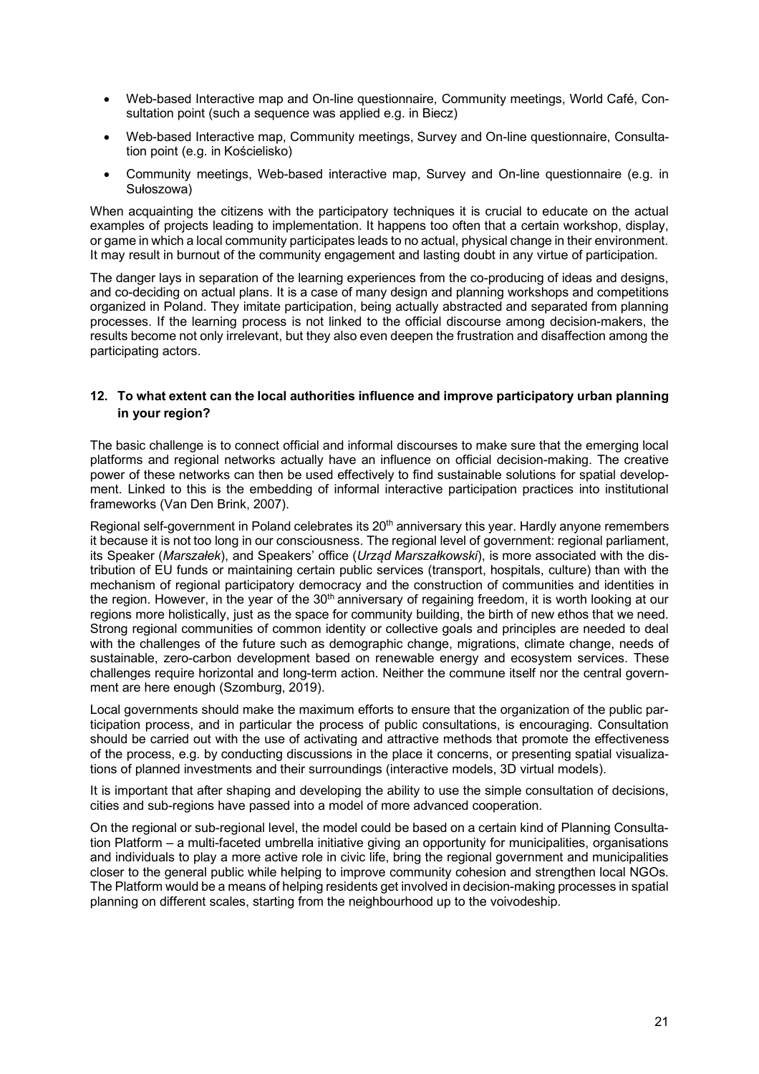- Web-based Interactive map and On-line questionnaire, Community meetings, World Café, Consultation point (such a sequence was applied e.g. in Biecz)
- Web-based Interactive map, Community meetings, Survey and On-line questionnaire, Consultation point (e.g. in Kościelisko)
- Community meetings, Web-based interactive map, Survey and On-line questionnaire (e.g. in Sułoszowa)

When acquainting the citizens with the participatory techniques it is crucial to educate on the actual examples of projects leading to implementation. It happens too often that a certain workshop, display, or game in which a local community participates leads to no actual, physical change in their environment. It may result in burnout of the community engagement and lasting doubt in any virtue of participation.

The danger lays in separation of the learning experiences from the co-producing of ideas and designs, and co-deciding on actual plans. It is a case of many design and planning workshops and competitions organized in Poland. They imitate participation, being actually abstracted and separated from planning processes. If the learning process is not linked to the official discourse among decision-makers, the results become not only irrelevant, but they also even deepen the frustration and disaffection among the participating actors.

# **12. To what extent can the local authorities influence and improve participatory urban planning in your region?**

The basic challenge is to connect official and informal discourses to make sure that the emerging local platforms and regional networks actually have an influence on official decision-making. The creative power of these networks can then be used effectively to find sustainable solutions for spatial development. Linked to this is the embedding of informal interactive participation practices into institutional frameworks (Van Den Brink, 2007).

Regional self-government in Poland celebrates its 20<sup>th</sup> anniversary this year. Hardly anyone remembers it because it is not too long in our consciousness. The regional level of government: regional parliament, its Speaker (*Marszałek*), and Speakers' office (*Urząd Marszałkowski*), is more associated with the distribution of EU funds or maintaining certain public services (transport, hospitals, culture) than with the mechanism of regional participatory democracy and the construction of communities and identities in the region. However, in the year of the 30<sup>th</sup> anniversary of regaining freedom, it is worth looking at our regions more holistically, just as the space for community building, the birth of new ethos that we need. Strong regional communities of common identity or collective goals and principles are needed to deal with the challenges of the future such as demographic change, migrations, climate change, needs of sustainable, zero-carbon development based on renewable energy and ecosystem services. These challenges require horizontal and long-term action. Neither the commune itself nor the central government are here enough (Szomburg, 2019).

Local governments should make the maximum efforts to ensure that the organization of the public participation process, and in particular the process of public consultations, is encouraging. Consultation should be carried out with the use of activating and attractive methods that promote the effectiveness of the process, e.g. by conducting discussions in the place it concerns, or presenting spatial visualizations of planned investments and their surroundings (interactive models, 3D virtual models).

It is important that after shaping and developing the ability to use the simple consultation of decisions, cities and sub-regions have passed into a model of more advanced cooperation.

On the regional or sub-regional level, the model could be based on a certain kind of Planning Consultation Platform – a multi-faceted umbrella initiative giving an opportunity for municipalities, organisations and individuals to play a more active role in civic life, bring the regional government and municipalities closer to the general public while helping to improve community cohesion and strengthen local NGOs. The Platform would be a means of helping residents get involved in decision-making processes in spatial planning on different scales, starting from the neighbourhood up to the voivodeship.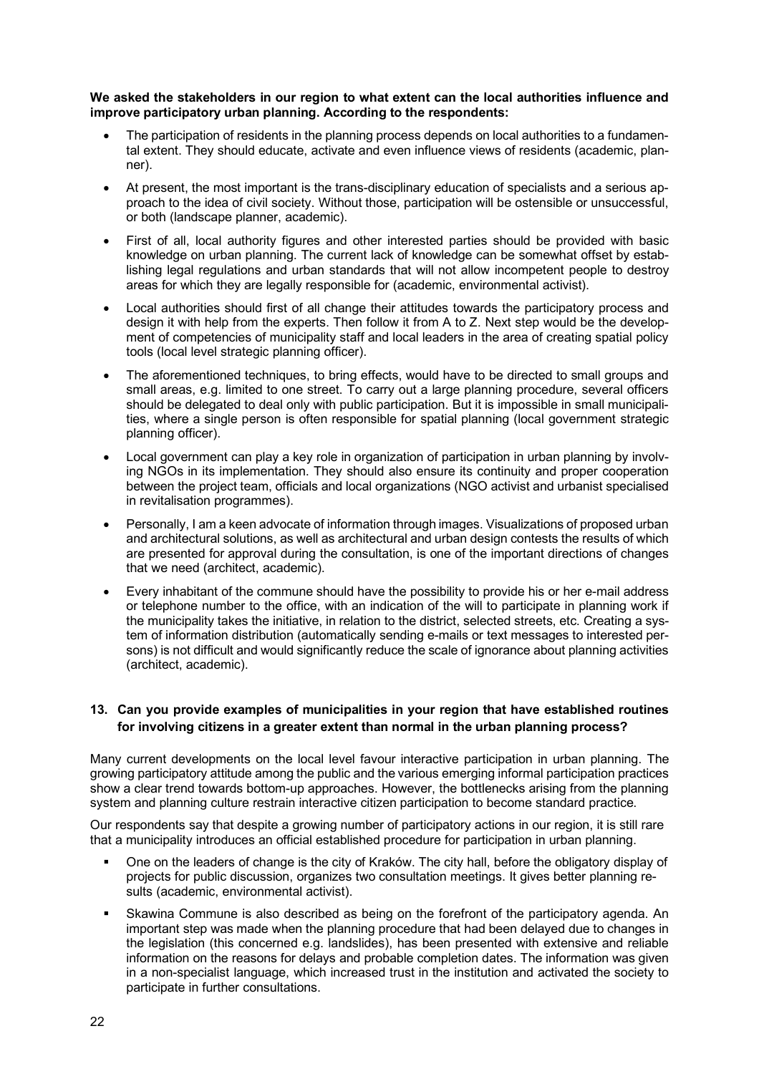#### **We asked the stakeholders in our region to what extent can the local authorities influence and improve participatory urban planning. According to the respondents:**

- The participation of residents in the planning process depends on local authorities to a fundamental extent. They should educate, activate and even influence views of residents (academic, planner).
- At present, the most important is the trans-disciplinary education of specialists and a serious approach to the idea of civil society. Without those, participation will be ostensible or unsuccessful, or both (landscape planner, academic).
- First of all, local authority figures and other interested parties should be provided with basic knowledge on urban planning. The current lack of knowledge can be somewhat offset by establishing legal regulations and urban standards that will not allow incompetent people to destroy areas for which they are legally responsible for (academic, environmental activist).
- Local authorities should first of all change their attitudes towards the participatory process and design it with help from the experts. Then follow it from A to Z. Next step would be the development of competencies of municipality staff and local leaders in the area of creating spatial policy tools (local level strategic planning officer).
- The aforementioned techniques, to bring effects, would have to be directed to small groups and small areas, e.g. limited to one street. To carry out a large planning procedure, several officers should be delegated to deal only with public participation. But it is impossible in small municipalities, where a single person is often responsible for spatial planning (local government strategic planning officer).
- Local government can play a key role in organization of participation in urban planning by involving NGOs in its implementation. They should also ensure its continuity and proper cooperation between the project team, officials and local organizations (NGO activist and urbanist specialised in revitalisation programmes).
- Personally, I am a keen advocate of information through images. Visualizations of proposed urban and architectural solutions, as well as architectural and urban design contests the results of which are presented for approval during the consultation, is one of the important directions of changes that we need (architect, academic).
- Every inhabitant of the commune should have the possibility to provide his or her e-mail address or telephone number to the office, with an indication of the will to participate in planning work if the municipality takes the initiative, in relation to the district, selected streets, etc. Creating a system of information distribution (automatically sending e-mails or text messages to interested persons) is not difficult and would significantly reduce the scale of ignorance about planning activities (architect, academic).

# **13. Can you provide examples of municipalities in your region that have established routines for involving citizens in a greater extent than normal in the urban planning process?**

Many current developments on the local level favour interactive participation in urban planning. The growing participatory attitude among the public and the various emerging informal participation practices show a clear trend towards bottom-up approaches. However, the bottlenecks arising from the planning system and planning culture restrain interactive citizen participation to become standard practice.

Our respondents say that despite a growing number of participatory actions in our region, it is still rare that a municipality introduces an official established procedure for participation in urban planning.

- § One on the leaders of change is the city of Kraków. The city hall, before the obligatory display of projects for public discussion, organizes two consultation meetings. It gives better planning results (academic, environmental activist).
- Skawina Commune is also described as being on the forefront of the participatory agenda. An important step was made when the planning procedure that had been delayed due to changes in the legislation (this concerned e.g. landslides), has been presented with extensive and reliable information on the reasons for delays and probable completion dates. The information was given in a non-specialist language, which increased trust in the institution and activated the society to participate in further consultations.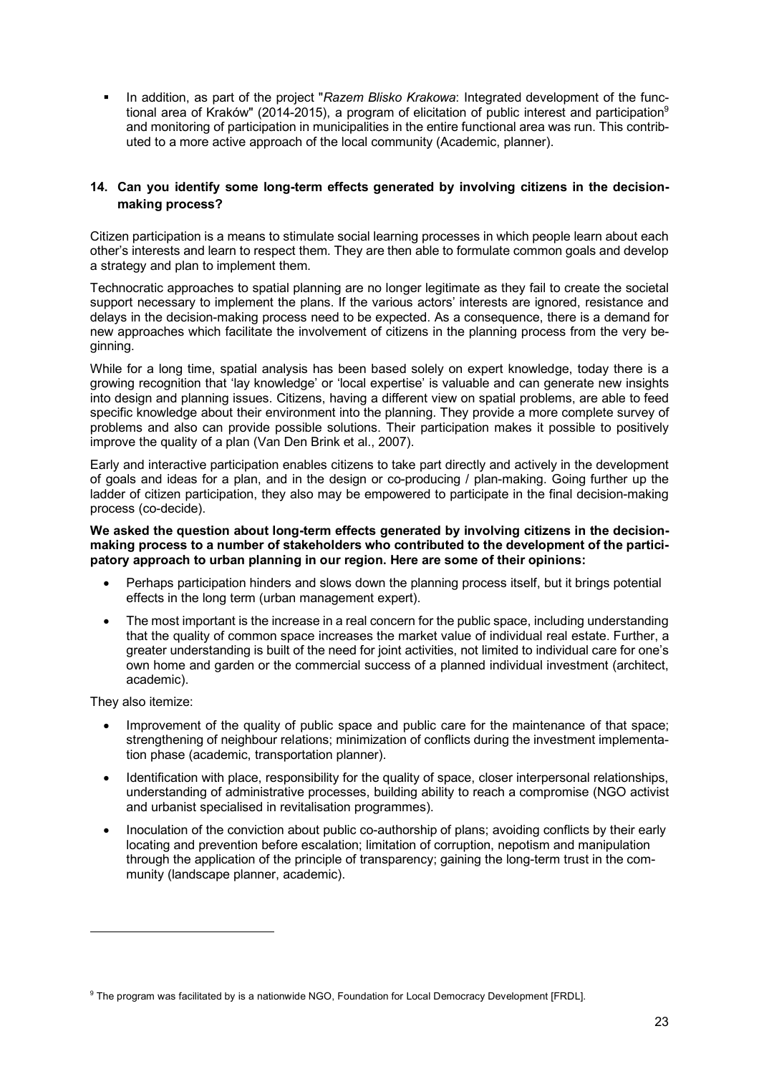§ In addition, as part of the project "*Razem Blisko Krakowa*: Integrated development of the functional area of Kraków" (2014-2015), a program of elicitation of public interest and participation<sup>9</sup> and monitoring of participation in municipalities in the entire functional area was run. This contributed to a more active approach of the local community (Academic, planner).

# **14. Can you identify some long-term effects generated by involving citizens in the decisionmaking process?**

Citizen participation is a means to stimulate social learning processes in which people learn about each other's interests and learn to respect them. They are then able to formulate common goals and develop a strategy and plan to implement them.

Technocratic approaches to spatial planning are no longer legitimate as they fail to create the societal support necessary to implement the plans. If the various actors' interests are ignored, resistance and delays in the decision-making process need to be expected. As a consequence, there is a demand for new approaches which facilitate the involvement of citizens in the planning process from the very beginning.

While for a long time, spatial analysis has been based solely on expert knowledge, today there is a growing recognition that 'lay knowledge' or 'local expertise' is valuable and can generate new insights into design and planning issues. Citizens, having a different view on spatial problems, are able to feed specific knowledge about their environment into the planning. They provide a more complete survey of problems and also can provide possible solutions. Their participation makes it possible to positively improve the quality of a plan (Van Den Brink et al., 2007).

Early and interactive participation enables citizens to take part directly and actively in the development of goals and ideas for a plan, and in the design or co-producing / plan-making. Going further up the ladder of citizen participation, they also may be empowered to participate in the final decision-making process (co-decide).

**We asked the question about long-term effects generated by involving citizens in the decisionmaking process to a number of stakeholders who contributed to the development of the participatory approach to urban planning in our region. Here are some of their opinions:**

- Perhaps participation hinders and slows down the planning process itself, but it brings potential effects in the long term (urban management expert).
- The most important is the increase in a real concern for the public space, including understanding that the quality of common space increases the market value of individual real estate. Further, a greater understanding is built of the need for joint activities, not limited to individual care for one's own home and garden or the commercial success of a planned individual investment (architect, academic).

They also itemize:

l

- Improvement of the quality of public space and public care for the maintenance of that space; strengthening of neighbour relations; minimization of conflicts during the investment implementation phase (academic, transportation planner).
- Identification with place, responsibility for the quality of space, closer interpersonal relationships, understanding of administrative processes, building ability to reach a compromise (NGO activist and urbanist specialised in revitalisation programmes).
- Inoculation of the conviction about public co-authorship of plans; avoiding conflicts by their early locating and prevention before escalation; limitation of corruption, nepotism and manipulation through the application of the principle of transparency; gaining the long-term trust in the community (landscape planner, academic).

<sup>9</sup> The program was facilitated by is a nationwide NGO, Foundation for Local Democracy Development [FRDL].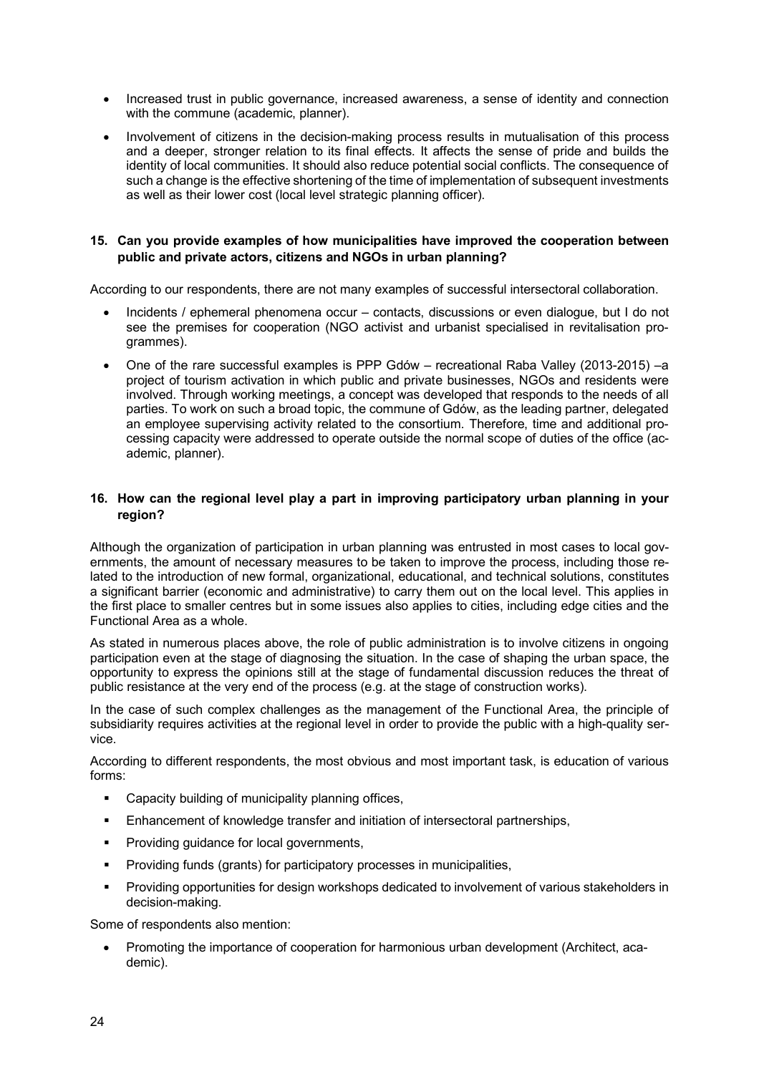- Increased trust in public governance, increased awareness, a sense of identity and connection with the commune (academic, planner).
- Involvement of citizens in the decision-making process results in mutualisation of this process and a deeper, stronger relation to its final effects. It affects the sense of pride and builds the identity of local communities. It should also reduce potential social conflicts. The consequence of such a change is the effective shortening of the time of implementation of subsequent investments as well as their lower cost (local level strategic planning officer).

# **15. Can you provide examples of how municipalities have improved the cooperation between public and private actors, citizens and NGOs in urban planning?**

According to our respondents, there are not many examples of successful intersectoral collaboration.

- Incidents / ephemeral phenomena occur contacts, discussions or even dialogue, but I do not see the premises for cooperation (NGO activist and urbanist specialised in revitalisation programmes).
- One of the rare successful examples is PPP Gdów recreational Raba Valley (2013-2015) –a project of tourism activation in which public and private businesses, NGOs and residents were involved. Through working meetings, a concept was developed that responds to the needs of all parties. To work on such a broad topic, the commune of Gdów, as the leading partner, delegated an employee supervising activity related to the consortium. Therefore, time and additional processing capacity were addressed to operate outside the normal scope of duties of the office (academic, planner).

# **16. How can the regional level play a part in improving participatory urban planning in your region?**

Although the organization of participation in urban planning was entrusted in most cases to local governments, the amount of necessary measures to be taken to improve the process, including those related to the introduction of new formal, organizational, educational, and technical solutions, constitutes a significant barrier (economic and administrative) to carry them out on the local level. This applies in the first place to smaller centres but in some issues also applies to cities, including edge cities and the Functional Area as a whole.

As stated in numerous places above, the role of public administration is to involve citizens in ongoing participation even at the stage of diagnosing the situation. In the case of shaping the urban space, the opportunity to express the opinions still at the stage of fundamental discussion reduces the threat of public resistance at the very end of the process (e.g. at the stage of construction works).

In the case of such complex challenges as the management of the Functional Area, the principle of subsidiarity requires activities at the regional level in order to provide the public with a high-quality service.

According to different respondents, the most obvious and most important task, is education of various forms:

- Capacity building of municipality planning offices,
- **Enhancement of knowledge transfer and initiation of intersectoral partnerships,**
- Providing guidance for local governments,
- Providing funds (grants) for participatory processes in municipalities,
- § Providing opportunities for design workshops dedicated to involvement of various stakeholders in decision-making.

Some of respondents also mention:

• Promoting the importance of cooperation for harmonious urban development (Architect, academic).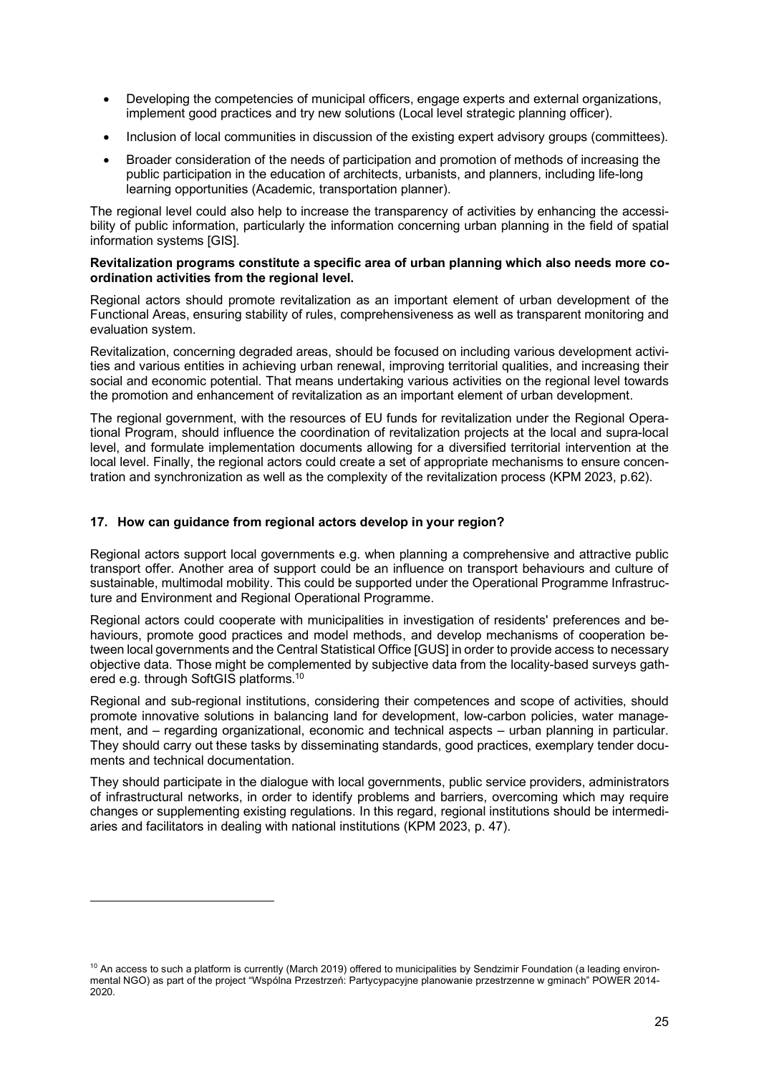- Developing the competencies of municipal officers, engage experts and external organizations, implement good practices and try new solutions (Local level strategic planning officer).
- Inclusion of local communities in discussion of the existing expert advisory groups (committees).
- Broader consideration of the needs of participation and promotion of methods of increasing the public participation in the education of architects, urbanists, and planners, including life-long learning opportunities (Academic, transportation planner).

The regional level could also help to increase the transparency of activities by enhancing the accessibility of public information, particularly the information concerning urban planning in the field of spatial information systems [GIS].

#### **Revitalization programs constitute a specific area of urban planning which also needs more coordination activities from the regional level.**

Regional actors should promote revitalization as an important element of urban development of the Functional Areas, ensuring stability of rules, comprehensiveness as well as transparent monitoring and evaluation system.

Revitalization, concerning degraded areas, should be focused on including various development activities and various entities in achieving urban renewal, improving territorial qualities, and increasing their social and economic potential. That means undertaking various activities on the regional level towards the promotion and enhancement of revitalization as an important element of urban development.

The regional government, with the resources of EU funds for revitalization under the Regional Operational Program, should influence the coordination of revitalization projects at the local and supra-local level, and formulate implementation documents allowing for a diversified territorial intervention at the local level. Finally, the regional actors could create a set of appropriate mechanisms to ensure concentration and synchronization as well as the complexity of the revitalization process (KPM 2023, p.62).

# **17. How can guidance from regional actors develop in your region?**

l

Regional actors support local governments e.g. when planning a comprehensive and attractive public transport offer. Another area of support could be an influence on transport behaviours and culture of sustainable, multimodal mobility. This could be supported under the Operational Programme Infrastructure and Environment and Regional Operational Programme.

Regional actors could cooperate with municipalities in investigation of residents' preferences and behaviours, promote good practices and model methods, and develop mechanisms of cooperation between local governments and the Central Statistical Office [GUS] in order to provide access to necessary objective data. Those might be complemented by subjective data from the locality-based surveys gathered e.g. through SoftGIS platforms.<sup>10</sup>

Regional and sub-regional institutions, considering their competences and scope of activities, should promote innovative solutions in balancing land for development, low-carbon policies, water management, and – regarding organizational, economic and technical aspects – urban planning in particular. They should carry out these tasks by disseminating standards, good practices, exemplary tender documents and technical documentation.

They should participate in the dialogue with local governments, public service providers, administrators of infrastructural networks, in order to identify problems and barriers, overcoming which may require changes or supplementing existing regulations. In this regard, regional institutions should be intermediaries and facilitators in dealing with national institutions (KPM 2023, p. 47).

 $10$  An access to such a platform is currently (March 2019) offered to municipalities by Sendzimir Foundation (a leading environmental NGO) as part of the project "Wspólna Przestrzeń: Partycypacyjne planowanie przestrzenne w gminach" POWER 2014- 2020.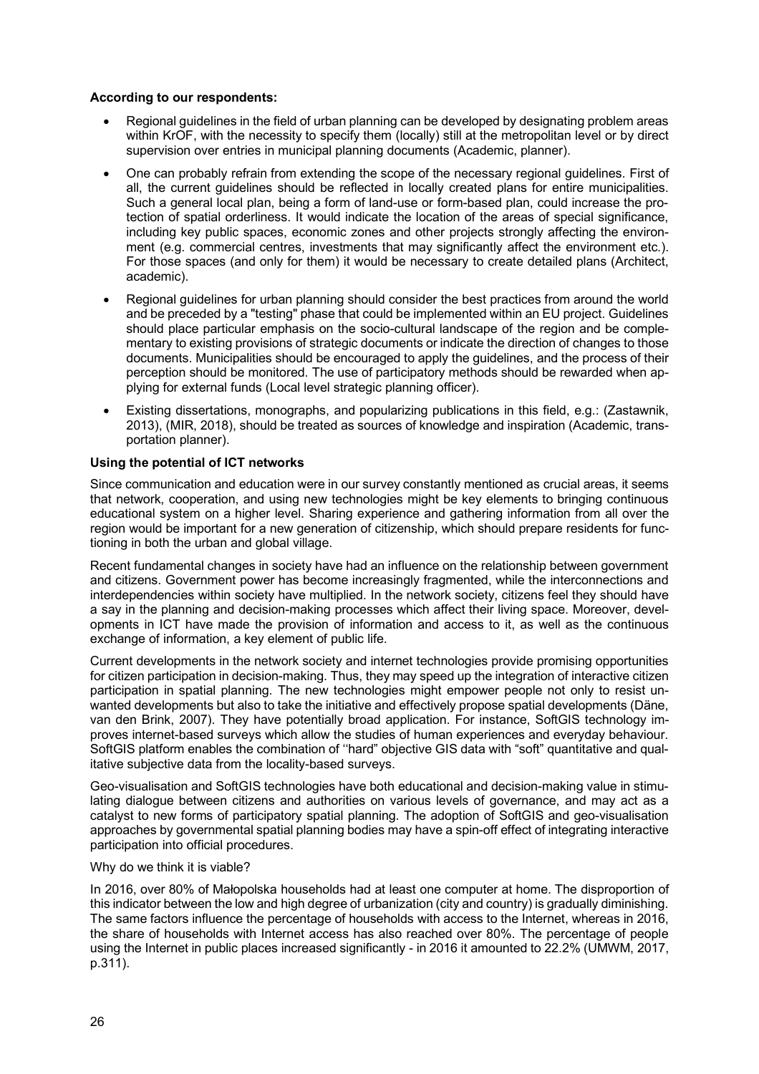#### **According to our respondents:**

- Regional guidelines in the field of urban planning can be developed by designating problem areas within KrOF, with the necessity to specify them (locally) still at the metropolitan level or by direct supervision over entries in municipal planning documents (Academic, planner).
- One can probably refrain from extending the scope of the necessary regional guidelines. First of all, the current guidelines should be reflected in locally created plans for entire municipalities. Such a general local plan, being a form of land-use or form-based plan, could increase the protection of spatial orderliness. It would indicate the location of the areas of special significance, including key public spaces, economic zones and other projects strongly affecting the environment (e.g. commercial centres, investments that may significantly affect the environment etc.). For those spaces (and only for them) it would be necessary to create detailed plans (Architect, academic).
- Regional guidelines for urban planning should consider the best practices from around the world and be preceded by a "testing" phase that could be implemented within an EU project. Guidelines should place particular emphasis on the socio-cultural landscape of the region and be complementary to existing provisions of strategic documents or indicate the direction of changes to those documents. Municipalities should be encouraged to apply the guidelines, and the process of their perception should be monitored. The use of participatory methods should be rewarded when applying for external funds (Local level strategic planning officer).
- Existing dissertations, monographs, and popularizing publications in this field, e.g.: (Zastawnik, 2013), (MIR, 2018), should be treated as sources of knowledge and inspiration (Academic, transportation planner).

# **Using the potential of ICT networks**

Since communication and education were in our survey constantly mentioned as crucial areas, it seems that network, cooperation, and using new technologies might be key elements to bringing continuous educational system on a higher level. Sharing experience and gathering information from all over the region would be important for a new generation of citizenship, which should prepare residents for functioning in both the urban and global village.

Recent fundamental changes in society have had an influence on the relationship between government and citizens. Government power has become increasingly fragmented, while the interconnections and interdependencies within society have multiplied. In the network society, citizens feel they should have a say in the planning and decision-making processes which affect their living space. Moreover, developments in ICT have made the provision of information and access to it, as well as the continuous exchange of information, a key element of public life.

Current developments in the network society and internet technologies provide promising opportunities for citizen participation in decision-making. Thus, they may speed up the integration of interactive citizen participation in spatial planning. The new technologies might empower people not only to resist unwanted developments but also to take the initiative and effectively propose spatial developments (Däne, van den Brink, 2007). They have potentially broad application. For instance, SoftGIS technology improves internet-based surveys which allow the studies of human experiences and everyday behaviour. SoftGIS platform enables the combination of ''hard" objective GIS data with "soft" quantitative and qualitative subjective data from the locality-based surveys.

Geo-visualisation and SoftGIS technologies have both educational and decision-making value in stimulating dialogue between citizens and authorities on various levels of governance, and may act as a catalyst to new forms of participatory spatial planning. The adoption of SoftGIS and geo-visualisation approaches by governmental spatial planning bodies may have a spin-off effect of integrating interactive participation into official procedures.

#### Why do we think it is viable?

In 2016, over 80% of Małopolska households had at least one computer at home. The disproportion of this indicator between the low and high degree of urbanization (city and country) is gradually diminishing. The same factors influence the percentage of households with access to the Internet, whereas in 2016, the share of households with Internet access has also reached over 80%. The percentage of people using the Internet in public places increased significantly - in 2016 it amounted to 22.2% (UMWM, 2017, p.311).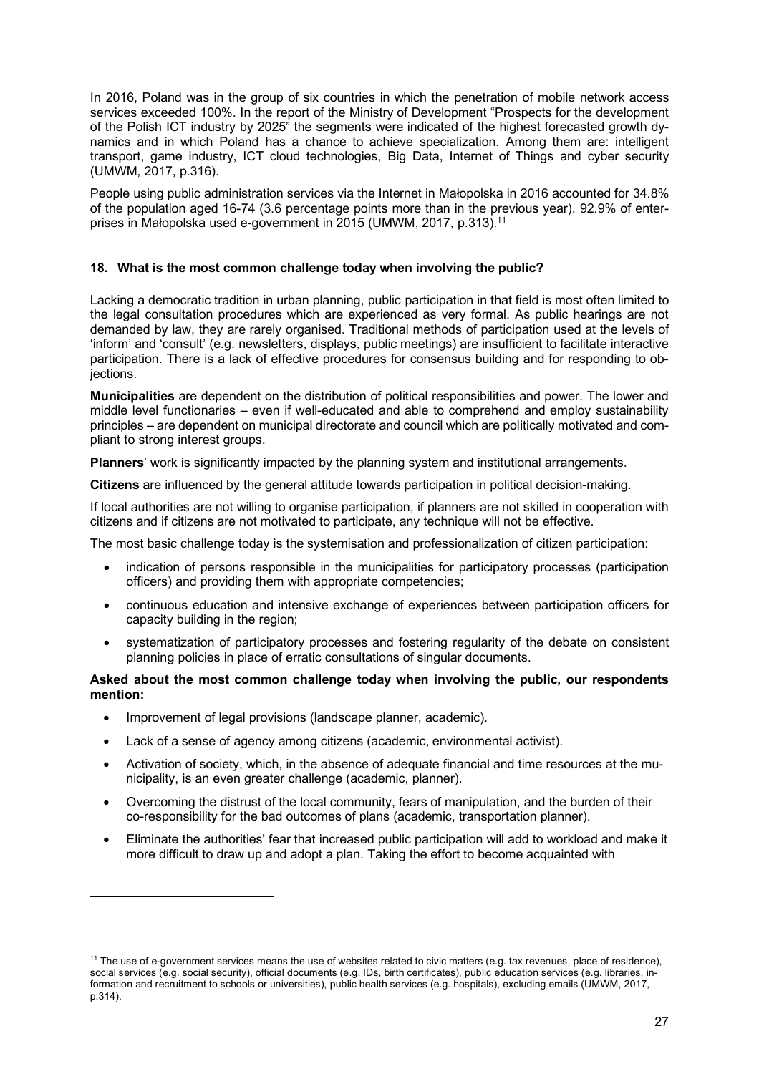In 2016, Poland was in the group of six countries in which the penetration of mobile network access services exceeded 100%. In the report of the Ministry of Development "Prospects for the development of the Polish ICT industry by 2025" the segments were indicated of the highest forecasted growth dynamics and in which Poland has a chance to achieve specialization. Among them are: intelligent transport, game industry, ICT cloud technologies, Big Data, Internet of Things and cyber security (UMWM, 2017, p.316).

People using public administration services via the Internet in Małopolska in 2016 accounted for 34.8% of the population aged 16-74 (3.6 percentage points more than in the previous year). 92.9% of enterprises in Małopolska used e-government in 2015 (UMWM, 2017, p.313).11

# **18. What is the most common challenge today when involving the public?**

Lacking a democratic tradition in urban planning, public participation in that field is most often limited to the legal consultation procedures which are experienced as very formal. As public hearings are not demanded by law, they are rarely organised. Traditional methods of participation used at the levels of 'inform' and 'consult' (e.g. newsletters, displays, public meetings) are insufficient to facilitate interactive participation. There is a lack of effective procedures for consensus building and for responding to objections.

**Municipalities** are dependent on the distribution of political responsibilities and power. The lower and middle level functionaries – even if well-educated and able to comprehend and employ sustainability principles – are dependent on municipal directorate and council which are politically motivated and compliant to strong interest groups.

**Planners**' work is significantly impacted by the planning system and institutional arrangements.

**Citizens** are influenced by the general attitude towards participation in political decision-making.

If local authorities are not willing to organise participation, if planners are not skilled in cooperation with citizens and if citizens are not motivated to participate, any technique will not be effective.

The most basic challenge today is the systemisation and professionalization of citizen participation:

- indication of persons responsible in the municipalities for participatory processes (participation officers) and providing them with appropriate competencies;
- continuous education and intensive exchange of experiences between participation officers for capacity building in the region;
- systematization of participatory processes and fostering regularity of the debate on consistent planning policies in place of erratic consultations of singular documents.

# **Asked about the most common challenge today when involving the public, our respondents mention:**

• Improvement of legal provisions (landscape planner, academic).

l

- Lack of a sense of agency among citizens (academic, environmental activist).
- Activation of society, which, in the absence of adequate financial and time resources at the municipality, is an even greater challenge (academic, planner).
- Overcoming the distrust of the local community, fears of manipulation, and the burden of their co-responsibility for the bad outcomes of plans (academic, transportation planner).
- Eliminate the authorities' fear that increased public participation will add to workload and make it more difficult to draw up and adopt a plan. Taking the effort to become acquainted with

 $11$  The use of e-government services means the use of websites related to civic matters (e.g. tax revenues, place of residence), social services (e.g. social security), official documents (e.g. IDs, birth certificates), public education services (e.g. libraries, information and recruitment to schools or universities), public health services (e.g. hospitals), excluding emails (UMWM, 2017, p.314).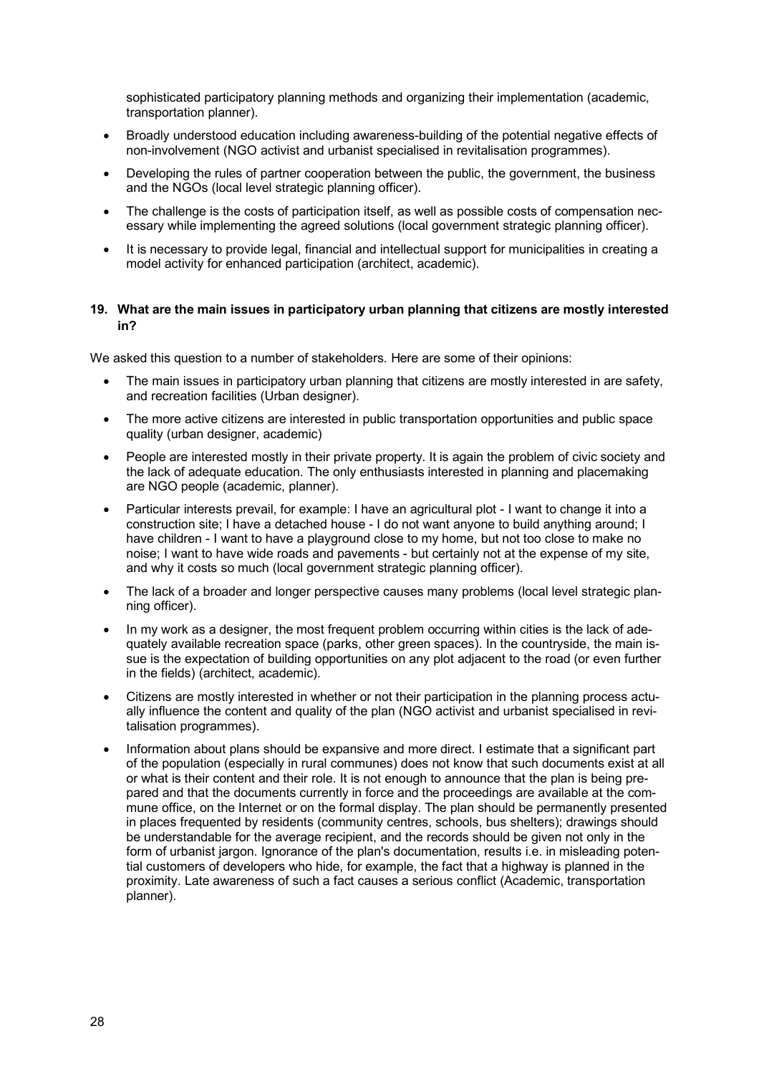sophisticated participatory planning methods and organizing their implementation (academic, transportation planner).

- Broadly understood education including awareness-building of the potential negative effects of non-involvement (NGO activist and urbanist specialised in revitalisation programmes).
- Developing the rules of partner cooperation between the public, the government, the business and the NGOs (local level strategic planning officer).
- The challenge is the costs of participation itself, as well as possible costs of compensation necessary while implementing the agreed solutions (local government strategic planning officer).
- It is necessary to provide legal, financial and intellectual support for municipalities in creating a model activity for enhanced participation (architect, academic).

# **19. What are the main issues in participatory urban planning that citizens are mostly interested in?**

We asked this question to a number of stakeholders. Here are some of their opinions:

- The main issues in participatory urban planning that citizens are mostly interested in are safety, and recreation facilities (Urban designer).
- The more active citizens are interested in public transportation opportunities and public space quality (urban designer, academic)
- People are interested mostly in their private property. It is again the problem of civic society and the lack of adequate education. The only enthusiasts interested in planning and placemaking are NGO people (academic, planner).
- Particular interests prevail, for example: I have an agricultural plot I want to change it into a construction site; I have a detached house - I do not want anyone to build anything around; I have children - I want to have a playground close to my home, but not too close to make no noise; I want to have wide roads and pavements - but certainly not at the expense of my site, and why it costs so much (local government strategic planning officer).
- The lack of a broader and longer perspective causes many problems (local level strategic planning officer).
- In my work as a designer, the most frequent problem occurring within cities is the lack of adequately available recreation space (parks, other green spaces). In the countryside, the main issue is the expectation of building opportunities on any plot adjacent to the road (or even further in the fields) (architect, academic).
- Citizens are mostly interested in whether or not their participation in the planning process actually influence the content and quality of the plan (NGO activist and urbanist specialised in revitalisation programmes).
- Information about plans should be expansive and more direct. I estimate that a significant part of the population (especially in rural communes) does not know that such documents exist at all or what is their content and their role. It is not enough to announce that the plan is being prepared and that the documents currently in force and the proceedings are available at the commune office, on the Internet or on the formal display. The plan should be permanently presented in places frequented by residents (community centres, schools, bus shelters); drawings should be understandable for the average recipient, and the records should be given not only in the form of urbanist jargon. Ignorance of the plan's documentation, results i.e. in misleading potential customers of developers who hide, for example, the fact that a highway is planned in the proximity. Late awareness of such a fact causes a serious conflict (Academic, transportation planner).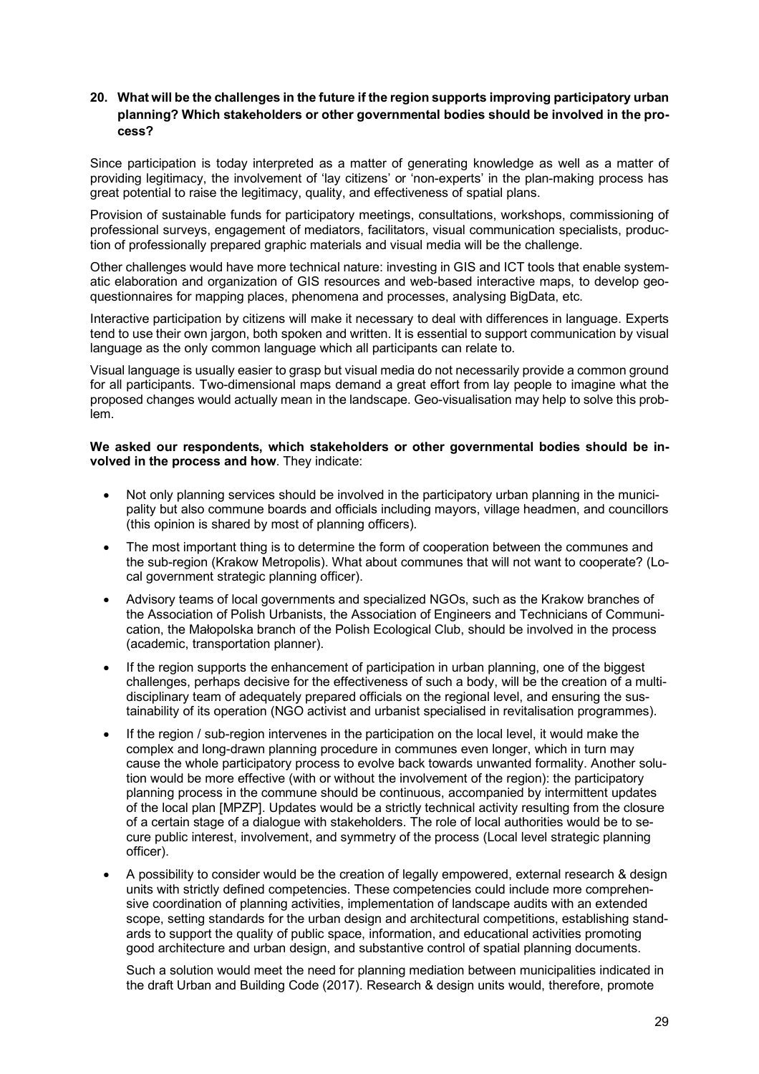# **20. What will be the challenges in the future if the region supports improving participatory urban planning? Which stakeholders or other governmental bodies should be involved in the process?**

Since participation is today interpreted as a matter of generating knowledge as well as a matter of providing legitimacy, the involvement of 'lay citizens' or 'non-experts' in the plan-making process has great potential to raise the legitimacy, quality, and effectiveness of spatial plans.

Provision of sustainable funds for participatory meetings, consultations, workshops, commissioning of professional surveys, engagement of mediators, facilitators, visual communication specialists, production of professionally prepared graphic materials and visual media will be the challenge.

Other challenges would have more technical nature: investing in GIS and ICT tools that enable systematic elaboration and organization of GIS resources and web-based interactive maps, to develop geoquestionnaires for mapping places, phenomena and processes, analysing BigData, etc.

Interactive participation by citizens will make it necessary to deal with differences in language. Experts tend to use their own jargon, both spoken and written. It is essential to support communication by visual language as the only common language which all participants can relate to.

Visual language is usually easier to grasp but visual media do not necessarily provide a common ground for all participants. Two-dimensional maps demand a great effort from lay people to imagine what the proposed changes would actually mean in the landscape. Geo-visualisation may help to solve this problem.

#### **We asked our respondents, which stakeholders or other governmental bodies should be involved in the process and how**. They indicate:

- Not only planning services should be involved in the participatory urban planning in the municipality but also commune boards and officials including mayors, village headmen, and councillors (this opinion is shared by most of planning officers).
- The most important thing is to determine the form of cooperation between the communes and the sub-region (Krakow Metropolis). What about communes that will not want to cooperate? (Local government strategic planning officer).
- Advisory teams of local governments and specialized NGOs, such as the Krakow branches of the Association of Polish Urbanists, the Association of Engineers and Technicians of Communication, the Małopolska branch of the Polish Ecological Club, should be involved in the process (academic, transportation planner).
- If the region supports the enhancement of participation in urban planning, one of the biggest challenges, perhaps decisive for the effectiveness of such a body, will be the creation of a multidisciplinary team of adequately prepared officials on the regional level, and ensuring the sustainability of its operation (NGO activist and urbanist specialised in revitalisation programmes).
- If the region / sub-region intervenes in the participation on the local level, it would make the complex and long-drawn planning procedure in communes even longer, which in turn may cause the whole participatory process to evolve back towards unwanted formality. Another solution would be more effective (with or without the involvement of the region): the participatory planning process in the commune should be continuous, accompanied by intermittent updates of the local plan [MPZP]. Updates would be a strictly technical activity resulting from the closure of a certain stage of a dialogue with stakeholders. The role of local authorities would be to secure public interest, involvement, and symmetry of the process (Local level strategic planning officer).
- A possibility to consider would be the creation of legally empowered, external research & design units with strictly defined competencies. These competencies could include more comprehensive coordination of planning activities, implementation of landscape audits with an extended scope, setting standards for the urban design and architectural competitions, establishing standards to support the quality of public space, information, and educational activities promoting good architecture and urban design, and substantive control of spatial planning documents.

Such a solution would meet the need for planning mediation between municipalities indicated in the draft Urban and Building Code (2017). Research & design units would, therefore, promote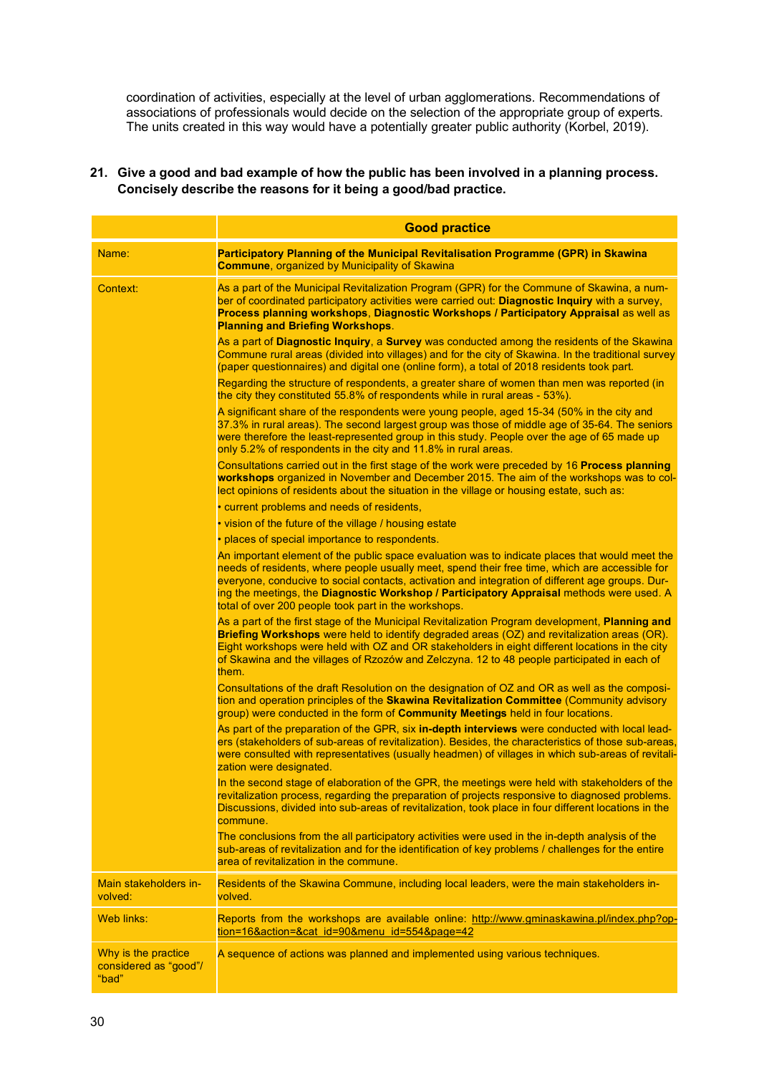coordination of activities, especially at the level of urban agglomerations. Recommendations of associations of professionals would decide on the selection of the appropriate group of experts. The units created in this way would have a potentially greater public authority (Korbel, 2019).

|                                                       | <b>Good practice</b>                                                                                                                                                                                                                                                                                                                                                                                                                                     |
|-------------------------------------------------------|----------------------------------------------------------------------------------------------------------------------------------------------------------------------------------------------------------------------------------------------------------------------------------------------------------------------------------------------------------------------------------------------------------------------------------------------------------|
| Name:                                                 | Participatory Planning of the Municipal Revitalisation Programme (GPR) in Skawina<br><b>Commune, organized by Municipality of Skawina</b>                                                                                                                                                                                                                                                                                                                |
| Context:                                              | As a part of the Municipal Revitalization Program (GPR) for the Commune of Skawina, a num-<br>ber of coordinated participatory activities were carried out: Diagnostic Inquiry with a survey,<br>Process planning workshops, Diagnostic Workshops / Participatory Appraisal as well as<br><b>Planning and Briefing Workshops.</b>                                                                                                                        |
|                                                       | As a part of Diagnostic Inquiry, a Survey was conducted among the residents of the Skawina<br>Commune rural areas (divided into villages) and for the city of Skawina. In the traditional survey<br>(paper questionnaires) and digital one (online form), a total of 2018 residents took part.                                                                                                                                                           |
|                                                       | Regarding the structure of respondents, a greater share of women than men was reported (in<br>the city they constituted 55.8% of respondents while in rural areas - 53%).                                                                                                                                                                                                                                                                                |
|                                                       | A significant share of the respondents were young people, aged 15-34 (50% in the city and<br>37.3% in rural areas). The second largest group was those of middle age of 35-64. The seniors<br>were therefore the least-represented group in this study. People over the age of 65 made up<br>only 5.2% of respondents in the city and 11.8% in rural areas.                                                                                              |
|                                                       | Consultations carried out in the first stage of the work were preceded by 16 Process planning<br>workshops organized in November and December 2015. The aim of the workshops was to col-<br>lect opinions of residents about the situation in the village or housing estate, such as:                                                                                                                                                                    |
|                                                       | • current problems and needs of residents,                                                                                                                                                                                                                                                                                                                                                                                                               |
|                                                       | • vision of the future of the village / housing estate                                                                                                                                                                                                                                                                                                                                                                                                   |
|                                                       | • places of special importance to respondents.                                                                                                                                                                                                                                                                                                                                                                                                           |
|                                                       | An important element of the public space evaluation was to indicate places that would meet the<br>needs of residents, where people usually meet, spend their free time, which are accessible for<br>everyone, conducive to social contacts, activation and integration of different age groups. Dur-<br>ing the meetings, the Diagnostic Workshop / Participatory Appraisal methods were used. A<br>total of over 200 people took part in the workshops. |
|                                                       | As a part of the first stage of the Municipal Revitalization Program development, Planning and<br>Briefing Workshops were held to identify degraded areas (OZ) and revitalization areas (OR).<br>Eight workshops were held with OZ and OR stakeholders in eight different locations in the city<br>of Skawina and the villages of Rzozów and Zelczyna. 12 to 48 people participated in each of<br>them.                                                  |
|                                                       | Consultations of the draft Resolution on the designation of OZ and OR as well as the composi-<br>tion and operation principles of the Skawina Revitalization Committee (Community advisory<br>group) were conducted in the form of <b>Community Meetings</b> held in four locations.                                                                                                                                                                     |
|                                                       | As part of the preparation of the GPR, six in-depth interviews were conducted with local lead-<br>ers (stakeholders of sub-areas of revitalization). Besides, the characteristics of those sub-areas,<br>were consulted with representatives (usually headmen) of villages in which sub-areas of revitali-<br>zation were designated.                                                                                                                    |
|                                                       | In the second stage of elaboration of the GPR, the meetings were held with stakeholders of the<br>revitalization process, regarding the preparation of projects responsive to diagnosed problems.<br>Discussions, divided into sub-areas of revitalization, took place in four different locations in the<br>commune.                                                                                                                                    |
|                                                       | The conclusions from the all participatory activities were used in the in-depth analysis of the<br>sub-areas of revitalization and for the identification of key problems / challenges for the entire<br>area of revitalization in the commune.                                                                                                                                                                                                          |
| Main stakeholders in-<br>volved:                      | Residents of the Skawina Commune, including local leaders, were the main stakeholders in-<br>volved.                                                                                                                                                                                                                                                                                                                                                     |
| <b>Web links:</b>                                     | Reports from the workshops are available online: http://www.gminaskawina.pl/index.php?op-<br>tion=16&action=&cat id=90&menu id=554&page=42                                                                                                                                                                                                                                                                                                               |
| Why is the practice<br>considered as "good"/<br>"bad" | A sequence of actions was planned and implemented using various techniques.                                                                                                                                                                                                                                                                                                                                                                              |

# **21. Give a good and bad example of how the public has been involved in a planning process. Concisely describe the reasons for it being a good/bad practice.**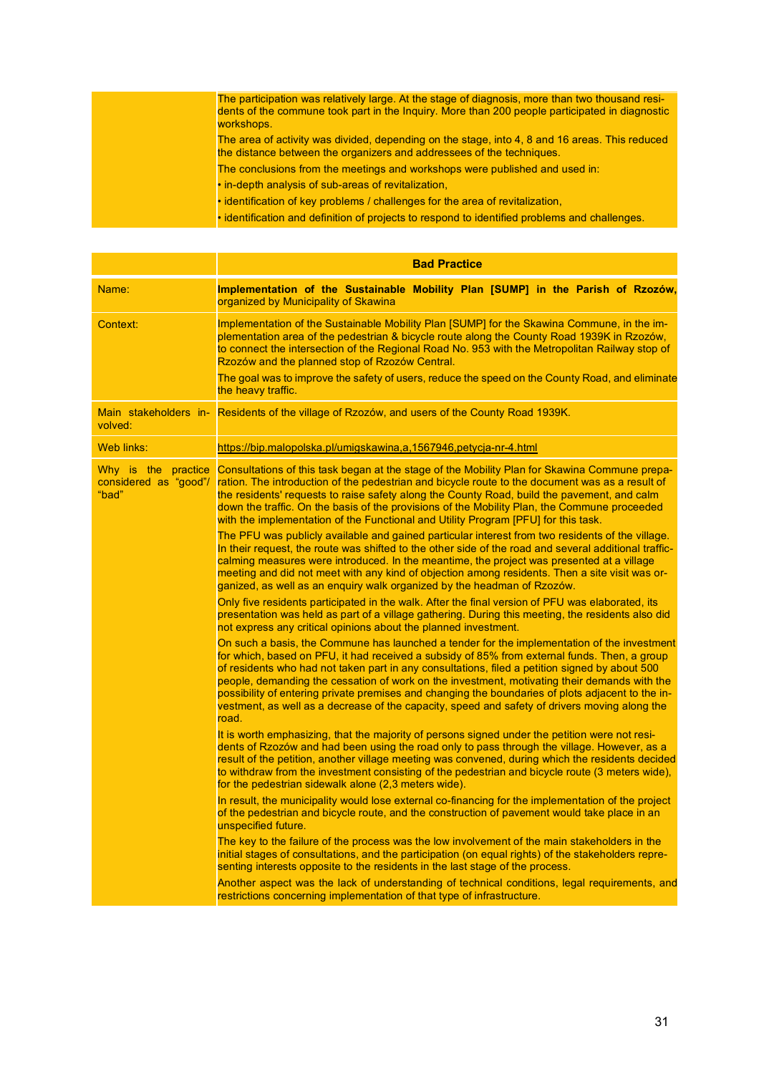| The participation was relatively large. At the stage of diagnosis, more than two thousand resi-<br>dents of the commune took part in the Inquiry. More than 200 people participated in diagnostic<br>workshops. |
|-----------------------------------------------------------------------------------------------------------------------------------------------------------------------------------------------------------------|
| The area of activity was divided, depending on the stage, into 4, 8 and 16 areas. This reduced<br>the distance between the organizers and addressees of the techniques.                                         |
| The conclusions from the meetings and workshops were published and used in:                                                                                                                                     |
| • in-depth analysis of sub-areas of revitalization,                                                                                                                                                             |
| • identification of key problems / challenges for the area of revitalization,                                                                                                                                   |
| • identification and definition of projects to respond to identified problems and challenges.                                                                                                                   |

|                                                       | <b>Bad Practice</b>                                                                                                                                                                                                                                                                                                                                                                                                                                                                                                                                                                                                                                                                                                                                                                                                                                                                                                                                                                                                                                                                                                                                                                                                                                                                                                                                                                                                                                                                                                                                                                                                                                                                                                                                                                                                                                                                                                                                                                                                                                                                                                                                                                                                                                                                                                                                                                                                                                                                                                                                                                                                                                                                                                                                                                                                                                                                                                                                                                                                                       |
|-------------------------------------------------------|-------------------------------------------------------------------------------------------------------------------------------------------------------------------------------------------------------------------------------------------------------------------------------------------------------------------------------------------------------------------------------------------------------------------------------------------------------------------------------------------------------------------------------------------------------------------------------------------------------------------------------------------------------------------------------------------------------------------------------------------------------------------------------------------------------------------------------------------------------------------------------------------------------------------------------------------------------------------------------------------------------------------------------------------------------------------------------------------------------------------------------------------------------------------------------------------------------------------------------------------------------------------------------------------------------------------------------------------------------------------------------------------------------------------------------------------------------------------------------------------------------------------------------------------------------------------------------------------------------------------------------------------------------------------------------------------------------------------------------------------------------------------------------------------------------------------------------------------------------------------------------------------------------------------------------------------------------------------------------------------------------------------------------------------------------------------------------------------------------------------------------------------------------------------------------------------------------------------------------------------------------------------------------------------------------------------------------------------------------------------------------------------------------------------------------------------------------------------------------------------------------------------------------------------------------------------------------------------------------------------------------------------------------------------------------------------------------------------------------------------------------------------------------------------------------------------------------------------------------------------------------------------------------------------------------------------------------------------------------------------------------------------------------------------|
| Name:                                                 | Implementation of the Sustainable Mobility Plan [SUMP] in the Parish of Rzozów,<br>organized by Municipality of Skawina                                                                                                                                                                                                                                                                                                                                                                                                                                                                                                                                                                                                                                                                                                                                                                                                                                                                                                                                                                                                                                                                                                                                                                                                                                                                                                                                                                                                                                                                                                                                                                                                                                                                                                                                                                                                                                                                                                                                                                                                                                                                                                                                                                                                                                                                                                                                                                                                                                                                                                                                                                                                                                                                                                                                                                                                                                                                                                                   |
| Context:                                              | Implementation of the Sustainable Mobility Plan [SUMP] for the Skawina Commune, in the im-<br>plementation area of the pedestrian & bicycle route along the County Road 1939K in Rzozów,<br>to connect the intersection of the Regional Road No. 953 with the Metropolitan Railway stop of<br>Rzozów and the planned stop of Rzozów Central.<br>The goal was to improve the safety of users, reduce the speed on the County Road, and eliminate<br>the heavy traffic.                                                                                                                                                                                                                                                                                                                                                                                                                                                                                                                                                                                                                                                                                                                                                                                                                                                                                                                                                                                                                                                                                                                                                                                                                                                                                                                                                                                                                                                                                                                                                                                                                                                                                                                                                                                                                                                                                                                                                                                                                                                                                                                                                                                                                                                                                                                                                                                                                                                                                                                                                                     |
| volved:                                               | Main stakeholders in- Residents of the village of Rzozów, and users of the County Road 1939K.                                                                                                                                                                                                                                                                                                                                                                                                                                                                                                                                                                                                                                                                                                                                                                                                                                                                                                                                                                                                                                                                                                                                                                                                                                                                                                                                                                                                                                                                                                                                                                                                                                                                                                                                                                                                                                                                                                                                                                                                                                                                                                                                                                                                                                                                                                                                                                                                                                                                                                                                                                                                                                                                                                                                                                                                                                                                                                                                             |
| <b>Web links:</b>                                     | https://bip.malopolska.pl/umigskawina,a,1567946,petycja-nr-4.html                                                                                                                                                                                                                                                                                                                                                                                                                                                                                                                                                                                                                                                                                                                                                                                                                                                                                                                                                                                                                                                                                                                                                                                                                                                                                                                                                                                                                                                                                                                                                                                                                                                                                                                                                                                                                                                                                                                                                                                                                                                                                                                                                                                                                                                                                                                                                                                                                                                                                                                                                                                                                                                                                                                                                                                                                                                                                                                                                                         |
| Why is the practice<br>considered as "good"/<br>"bad" | Consultations of this task began at the stage of the Mobility Plan for Skawina Commune prepa-<br>ration. The introduction of the pedestrian and bicycle route to the document was as a result of<br>the residents' requests to raise safety along the County Road, build the pavement, and calm<br>down the traffic. On the basis of the provisions of the Mobility Plan, the Commune proceeded<br>with the implementation of the Functional and Utility Program [PFU] for this task.<br>The PFU was publicly available and gained particular interest from two residents of the village.<br>In their request, the route was shifted to the other side of the road and several additional traffic-<br>calming measures were introduced. In the meantime, the project was presented at a village<br>meeting and did not meet with any kind of objection among residents. Then a site visit was or-<br>ganized, as well as an enquiry walk organized by the headman of Rzozów.<br>Only five residents participated in the walk. After the final version of PFU was elaborated, its<br>presentation was held as part of a village gathering. During this meeting, the residents also did<br>not express any critical opinions about the planned investment.<br>On such a basis, the Commune has launched a tender for the implementation of the investment<br>for which, based on PFU, it had received a subsidy of 85% from external funds. Then, a group<br>of residents who had not taken part in any consultations, filed a petition signed by about 500<br>people, demanding the cessation of work on the investment, motivating their demands with the<br>possibility of entering private premises and changing the boundaries of plots adjacent to the in-<br>vestment, as well as a decrease of the capacity, speed and safety of drivers moving along the<br>road.<br>It is worth emphasizing, that the majority of persons signed under the petition were not resi-<br>dents of Rzozów and had been using the road only to pass through the village. However, as a<br>result of the petition, another village meeting was convened, during which the residents decided<br>to withdraw from the investment consisting of the pedestrian and bicycle route (3 meters wide),<br>for the pedestrian sidewalk alone (2,3 meters wide).<br>In result, the municipality would lose external co-financing for the implementation of the project<br>of the pedestrian and bicycle route, and the construction of pavement would take place in an<br>unspecified future.<br>The key to the failure of the process was the low involvement of the main stakeholders in the<br>initial stages of consultations, and the participation (on equal rights) of the stakeholders repre-<br>senting interests opposite to the residents in the last stage of the process.<br>Another aspect was the lack of understanding of technical conditions, legal requirements, and<br>restrictions concerning implementation of that type of infrastructure. |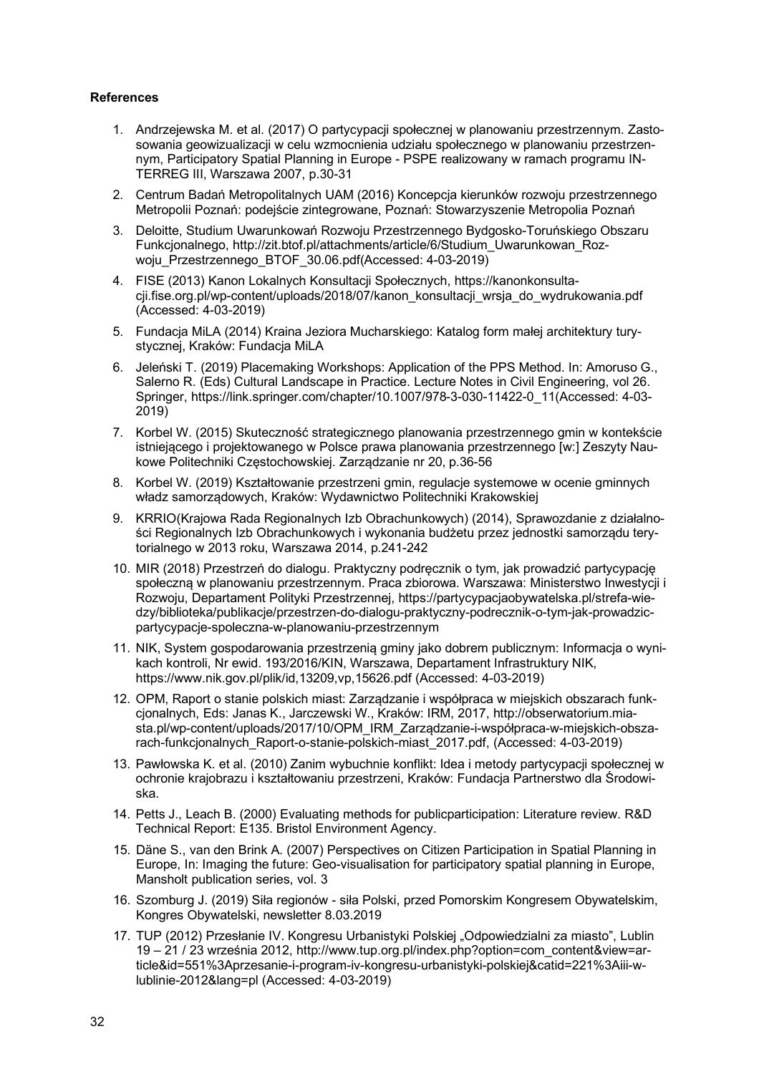#### **References**

- 1. Andrzejewska M. et al. (2017) O partycypacji społecznej w planowaniu przestrzennym. Zastosowania geowizualizacji w celu wzmocnienia udziału społecznego w planowaniu przestrzennym, Participatory Spatial Planning in Europe - PSPE realizowany w ramach programu IN-TERREG III, Warszawa 2007, p.30-31
- 2. Centrum Badań Metropolitalnych UAM (2016) Koncepcja kierunków rozwoju przestrzennego Metropolii Poznań: podejście zintegrowane, Poznań: Stowarzyszenie Metropolia Poznań
- 3. Deloitte, Studium Uwarunkowań Rozwoju Przestrzennego Bydgosko-Toruńskiego Obszaru Funkcjonalnego, http://zit.btof.pl/attachments/article/6/Studium\_Uwarunkowan\_Rozwoju\_Przestrzennego\_BTOF\_30.06.pdf(Accessed: 4-03-2019)
- 4. FISE (2013) Kanon Lokalnych Konsultacji Społecznych, https://kanonkonsultacji.fise.org.pl/wp-content/uploads/2018/07/kanon\_konsultacji\_wrsja\_do\_wydrukowania.pdf (Accessed: 4-03-2019)
- 5. Fundacja MiLA (2014) Kraina Jeziora Mucharskiego: Katalog form małej architektury turystycznej, Kraków: Fundacja MiLA
- 6. Jeleński T. (2019) Placemaking Workshops: Application of the PPS Method. In: Amoruso G., Salerno R. (Eds) Cultural Landscape in Practice. Lecture Notes in Civil Engineering, vol 26. Springer, https://link.springer.com/chapter/10.1007/978-3-030-11422-0\_11(Accessed: 4-03- 2019)
- 7. Korbel W. (2015) Skuteczność strategicznego planowania przestrzennego gmin w kontekście istniejącego i projektowanego w Polsce prawa planowania przestrzennego [w:] Zeszyty Naukowe Politechniki Częstochowskiej. Zarządzanie nr 20, p.36-56
- 8. Korbel W. (2019) Kształtowanie przestrzeni gmin, regulacje systemowe w ocenie gminnych władz samorządowych, Kraków: Wydawnictwo Politechniki Krakowskiej
- 9. KRRIO(Krajowa Rada Regionalnych Izb Obrachunkowych) (2014), Sprawozdanie z działalności Regionalnych Izb Obrachunkowych i wykonania budżetu przez jednostki samorządu terytorialnego w 2013 roku, Warszawa 2014, p.241-242
- 10. MIR (2018) Przestrzeń do dialogu. Praktyczny podręcznik o tym, jak prowadzić partycypację społeczną w planowaniu przestrzennym. Praca zbiorowa. Warszawa: Ministerstwo Inwestycji i Rozwoju, Departament Polityki Przestrzennej, https://partycypacjaobywatelska.pl/strefa-wiedzy/biblioteka/publikacje/przestrzen-do-dialogu-praktyczny-podrecznik-o-tym-jak-prowadzicpartycypacje-spoleczna-w-planowaniu-przestrzennym
- 11. NIK, System gospodarowania przestrzenią gminy jako dobrem publicznym: Informacja o wynikach kontroli, Nr ewid. 193/2016/KIN, Warszawa, Departament Infrastruktury NIK, https://www.nik.gov.pl/plik/id,13209,vp,15626.pdf (Accessed: 4-03-2019)
- 12. OPM, Raport o stanie polskich miast: Zarządzanie i współpraca w miejskich obszarach funkcjonalnych, Eds: Janas K., Jarczewski W., Kraków: IRM, 2017, http://obserwatorium.miasta.pl/wp-content/uploads/2017/10/OPM\_IRM\_Zarządzanie-i-współpraca-w-miejskich-obszarach-funkcjonalnych\_Raport-o-stanie-polskich-miast\_2017.pdf, (Accessed: 4-03-2019)
- 13. Pawłowska K. et al. (2010) Zanim wybuchnie konflikt: Idea i metody partycypacji społecznej w ochronie krajobrazu i kształtowaniu przestrzeni, Kraków: Fundacja Partnerstwo dla Środowiska.
- 14. Petts J., Leach B. (2000) Evaluating methods for publicparticipation: Literature review. R&D Technical Report: E135. Bristol Environment Agency.
- 15. Däne S., van den Brink A. (2007) Perspectives on Citizen Participation in Spatial Planning in Europe, In: Imaging the future: Geo-visualisation for participatory spatial planning in Europe, Mansholt publication series, vol. 3
- 16. Szomburg J. (2019) Siła regionów siła Polski, przed Pomorskim Kongresem Obywatelskim, Kongres Obywatelski, newsletter 8.03.2019
- 17. TUP (2012) Przesłanie IV. Kongresu Urbanistyki Polskiej "Odpowiedzialni za miasto", Lublin 19 – 21 / 23 września 2012, http://www.tup.org.pl/index.php?option=com\_content&view=article&id=551%3Aprzesanie-i-program-iv-kongresu-urbanistyki-polskiej&catid=221%3Aiii-wlublinie-2012&lang=pl (Accessed: 4-03-2019)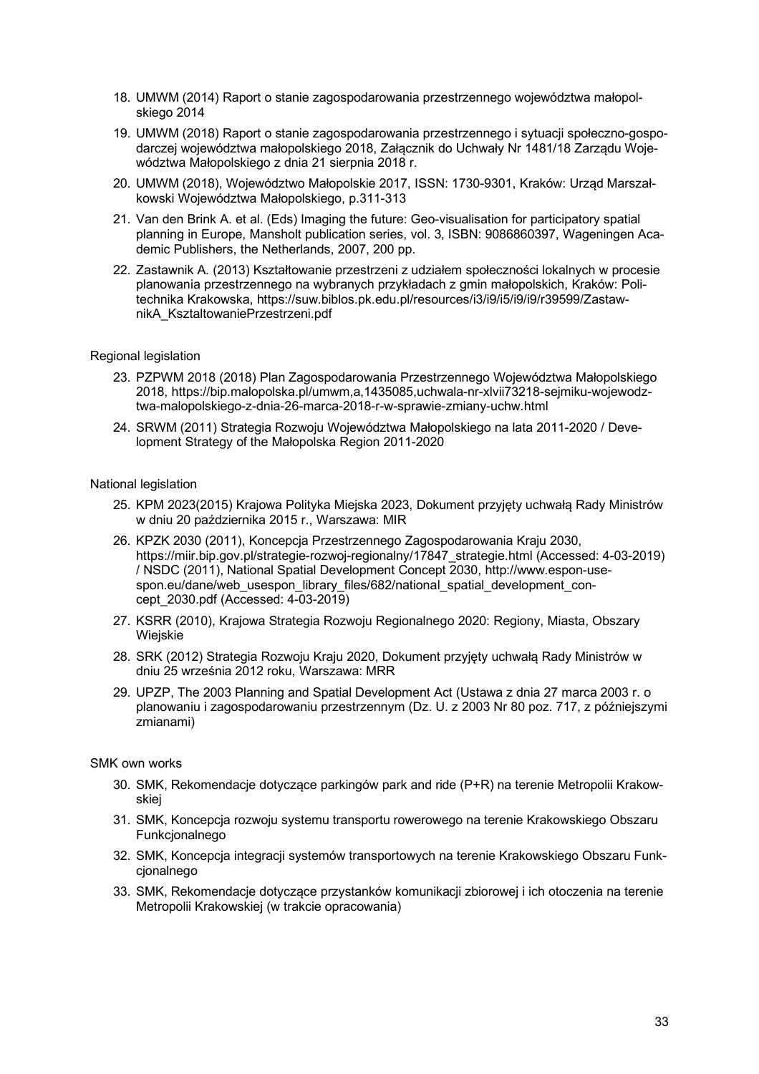- 18. UMWM (2014) Raport o stanie zagospodarowania przestrzennego województwa małopolskiego 2014
- 19. UMWM (2018) Raport o stanie zagospodarowania przestrzennego i sytuacji społeczno-gospodarczej województwa małopolskiego 2018, Załącznik do Uchwały Nr 1481/18 Zarządu Województwa Małopolskiego z dnia 21 sierpnia 2018 r.
- 20. UMWM (2018), Województwo Małopolskie 2017, ISSN: 1730-9301, Kraków: Urząd Marszałkowski Województwa Małopolskiego, p.311-313
- 21. Van den Brink A. et al. (Eds) Imaging the future: Geo-visualisation for participatory spatial planning in Europe, Mansholt publication series, vol. 3, ISBN: 9086860397, Wageningen Academic Publishers, the Netherlands, 2007, 200 pp.
- 22. Zastawnik A. (2013) Kształtowanie przestrzeni z udziałem społeczności lokalnych w procesie planowania przestrzennego na wybranych przykładach z gmin małopolskich, Kraków: Politechnika Krakowska, https://suw.biblos.pk.edu.pl/resources/i3/i9/i5/i9/i9/r39599/ZastawnikA\_KsztaltowaniePrzestrzeni.pdf

#### Regional legislation

- 23. PZPWM 2018 (2018) Plan Zagospodarowania Przestrzennego Województwa Małopolskiego 2018, https://bip.malopolska.pl/umwm,a,1435085,uchwala-nr-xlvii73218-sejmiku-wojewodztwa-malopolskiego-z-dnia-26-marca-2018-r-w-sprawie-zmiany-uchw.html
- 24. SRWM (2011) Strategia Rozwoju Województwa Małopolskiego na lata 2011-2020 / Development Strategy of the Małopolska Region 2011-2020

#### National legislation

- 25. KPM 2023(2015) Krajowa Polityka Miejska 2023, Dokument przyjęty uchwałą Rady Ministrów w dniu 20 października 2015 r., Warszawa: MIR
- 26. KPZK 2030 (2011), Koncepcja Przestrzennego Zagospodarowania Kraju 2030, https://miir.bip.gov.pl/strategie-rozwoj-regionalny/17847\_strategie.html (Accessed: 4-03-2019) / NSDC (2011), National Spatial Development Concept 2030, http://www.espon-usespon.eu/dane/web\_usespon\_library\_files/682/national\_spatial\_development\_concept\_2030.pdf (Accessed: 4-03-2019)
- 27. KSRR (2010), Krajowa Strategia Rozwoju Regionalnego 2020: Regiony, Miasta, Obszary Wiejskie
- 28. SRK (2012) Strategia Rozwoju Kraju 2020, Dokument przyjęty uchwałą Rady Ministrów w dniu 25 września 2012 roku, Warszawa: MRR
- 29. UPZP, The 2003 Planning and Spatial Development Act (Ustawa z dnia 27 marca 2003 r. o planowaniu i zagospodarowaniu przestrzennym (Dz. U. z 2003 Nr 80 poz. 717, z późniejszymi zmianami)

#### SMK own works

- 30. SMK, Rekomendacje dotyczące parkingów park and ride (P+R) na terenie Metropolii Krakowskiej
- 31. SMK, Koncepcja rozwoju systemu transportu rowerowego na terenie Krakowskiego Obszaru Funkcjonalnego
- 32. SMK, Koncepcja integracji systemów transportowych na terenie Krakowskiego Obszaru Funkcjonalnego
- 33. SMK, Rekomendacje dotyczące przystanków komunikacji zbiorowej i ich otoczenia na terenie Metropolii Krakowskiej (w trakcie opracowania)